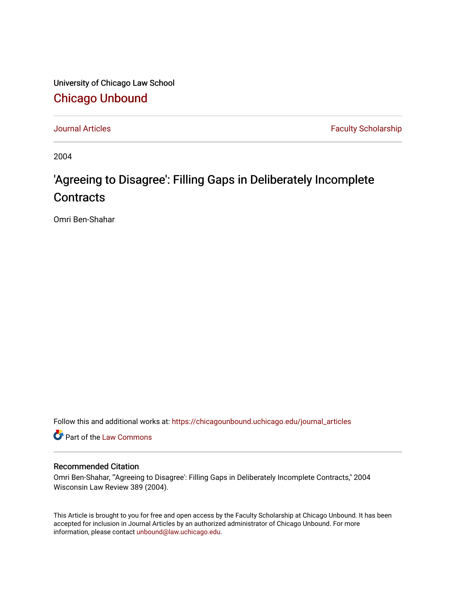University of Chicago Law School [Chicago Unbound](https://chicagounbound.uchicago.edu/)

[Journal Articles](https://chicagounbound.uchicago.edu/journal_articles) **Faculty Scholarship Faculty Scholarship** 

2004

# 'Agreeing to Disagree': Filling Gaps in Deliberately Incomplete **Contracts**

Omri Ben-Shahar

Follow this and additional works at: [https://chicagounbound.uchicago.edu/journal\\_articles](https://chicagounbound.uchicago.edu/journal_articles?utm_source=chicagounbound.uchicago.edu%2Fjournal_articles%2F1058&utm_medium=PDF&utm_campaign=PDFCoverPages) 

Part of the [Law Commons](http://network.bepress.com/hgg/discipline/578?utm_source=chicagounbound.uchicago.edu%2Fjournal_articles%2F1058&utm_medium=PDF&utm_campaign=PDFCoverPages)

# Recommended Citation

Omri Ben-Shahar, "'Agreeing to Disagree': Filling Gaps in Deliberately Incomplete Contracts," 2004 Wisconsin Law Review 389 (2004).

This Article is brought to you for free and open access by the Faculty Scholarship at Chicago Unbound. It has been accepted for inclusion in Journal Articles by an authorized administrator of Chicago Unbound. For more information, please contact [unbound@law.uchicago.edu](mailto:unbound@law.uchicago.edu).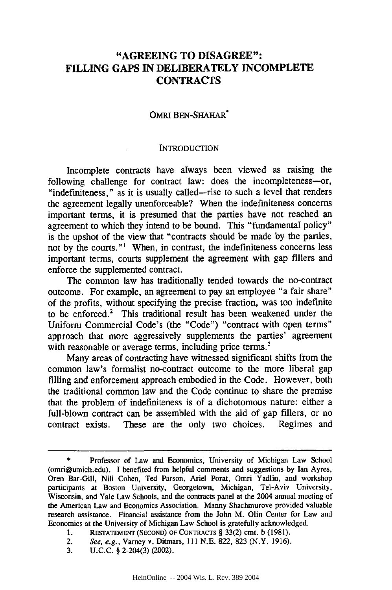# **"AGREEING TO DISAGREE": FILLING GAPS IN DELIBERATELY INCOMPLETE CONTRACTS**

#### OMRI BEN-SHAHAR\*

#### **INTRODUCTION**

Incomplete contracts have always been viewed as raising the following challenge for contract law: does the incompleteness-or, "indefiniteness," as it is usually called-rise to such a level that renders the agreement legally unenforceable? When the indefiniteness concerns important terms, it is presumed that the parties have not reached an agreement to which they intend to be bound. This "fundamental policy" is the upshot of the view that "contracts should be made by the parties, not by the courts."' When, in contrast, the indefiniteness concerns less important terms, courts supplement the agreement with gap fillers and enforce the supplemented contract.

The common law has traditionally tended towards the no-contract outcome. For example, an agreement to pay an employee "a fair share" of the profits, without specifying the precise fraction, was too indefinite to be enforced.<sup>2</sup> This traditional result has been weakened under the Uniform Commercial Code's (the "Code") "contract with open terms" approach that more aggressively supplements the parties' agreement with reasonable or average terms, including price terms.<sup>3</sup>

Many areas of contracting have witnessed significant shifts from the common law's formalist no-contract outcome to the more liberal gap filling and enforcement approach embodied in the Code. However, both the traditional common law and the Code continue to share the premise that the problem of indefiniteness is of a dichotomous nature: either a full-blown contract can be assembled with the aid of gap fillers, or no contract exists. These are the only two choices. Regimes and

Professor of Law and Economics, University of Michigan Law School (omri@umich.edu). I benefited from helpful comments and suggestions by Ian Ayres, Oren Bar-Gill, Nili Cohen, Ted Parson, Ariel Porat, Omri Yadlin, and workshop participants at Boston University, Georgetown, Michigan, Tel-Aviv University, Wisconsin, and Yale Law Schools, and the contracts panel at the 2004 annual meeting of the American Law and Economics Association. Manny Shachmurove provided valuable research assistance. Financial assistance from the John M. Olin Center for Law and Economics at the University of Michigan Law School is gratefully acknowledged.

**<sup>1.</sup> RESTATEMENT (SECOND)** OF CONTRACTS **§** 33(2) cmt. b (1981).

<sup>2.</sup> See, e.g., Varney v. Ditmars, 111 N.E. 822, 823 (N.Y. 1916).

<sup>3.</sup> U.C.C. **§** 2-204(3) (2002).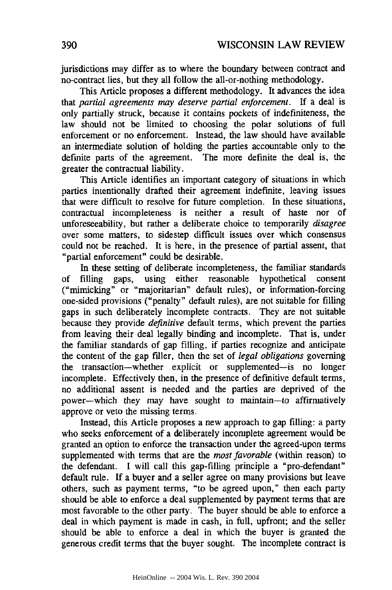jurisdictions may differ as to where the boundary between contract and no-contract lies, but they all follow the all-or-nothing methodology.

This Article proposes a different methodology. It advances the idea that *partial agreements may deserve partial enforcement.* If a deal is only partially struck, because it contains pockets of indefiniteness, the law should not be limited to choosing the polar solutions of full enforcement or no enforcement. Instead, the law should have available an intermediate solution of holding the parties accountable only to the definite parts of the agreement. The more definite the deal is, the greater the contractual liability.

This Article identifies an important category of situations in which parties intentionally drafted their agreement indefinite, leaving issues that were difficult to resolve for future completion. In these situations, contractual incompleteness is neither a result of haste nor of unforeseeability, but rather a deliberate choice to temporarily *disagree* over some matters, to sidestep difficult issues over which consensus could not be reached. It is here, in the presence of partial assent, that "partial enforcement" could be desirable.

In these setting of deliberate incompleteness, the familiar standards of filling gaps, using either reasonable hypothetical consent ("mimicking" or "majoritarian" default rules), or information-forcing one-sided provisions ("penalty" default rules), are not suitable for filling gaps in such deliberately incomplete contracts. They are not suitable because they provide *definitive* default terms, which prevent the parties from leaving their deal legally binding and incomplete. That is, under the familiar standards of gap filling, if parties recognize and anticipate the content of the gap filler, then the set of *legal obligations* governing the transaction-whether explicit or supplemented-is no longer incomplete. Effectively then, in the presence of definitive default terms, no additional assent is needed and the parties are deprived of the power-which they may have sought to maintain-to affirmatively approve or veto the missing terms.

Instead, this Article proposes a new approach to gap filling: a party who seeks enforcement of a deliberately incomplete agreement would be granted an option to enforce the transaction under the agreed-upon terms supplemented with terms that are the *most favorable* (within reason) to the defendant. I will call this gap-filling principle a "pro-defendant" default rule. If a buyer and a seller agree on many provisions but leave others, such as payment terms, "to be agreed upon," then each party should be able to enforce a deal supplemented by payment terms that are most favorable to the other party. The buyer should be able to enforce a deal in which payment is made in cash, in full, upfront; and the seller should be able to enforce a deal in which the buyer is granted the generous credit terms that the buyer sought. The incomplete contract is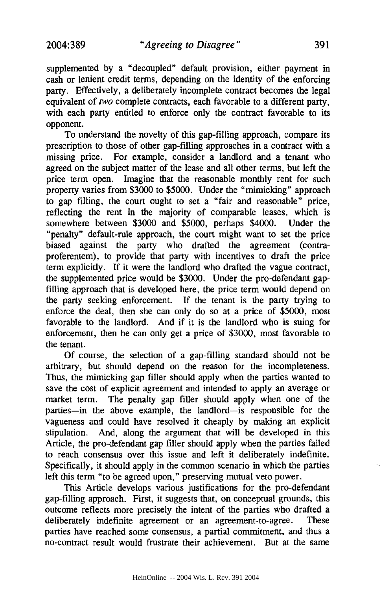supplemented by a "decoupled" default provision, either payment in cash or lenient credit terms, depending on the identity of the enforcing party. Effectively, a deliberately incomplete contract becomes the legal equivalent of *two* complete contracts, each favorable to a different party, with each party entitled to enforce only the contract favorable to its opponent.

To understand the novelty of this gap-filling approach, compare its prescription to those of other gap-filling approaches in a contract with a missing price. For example, consider a landlord and a tenant who agreed on the subject matter of the lease and all other terms, but left the price term open. Imagine that the reasonable monthly rent for such property varies from \$3000 to \$5000. Under the "mimicking" approach to gap filling, the court ought to set a "fair and reasonable" price, reflecting the rent in the majority of comparable leases, which is somewhere between \$3000 and \$5000, perhaps \$4000. Under the "penalty" default-rule approach, the court might want to set the price biased against the party who drafted the agreement (contraproferentem), to provide that party with incentives to draft the price term explicitly. If it were the landlord who drafted the vague contract, the supplemented price would be \$3000. Under the pro-defendant gapfilling approach that is developed here, the price term would depend on the party seeking enforcement. If the tenant is the party trying to enforce the deal, then she can only do so at a price of \$5000, most favorable to the landlord. And if it is the landlord who is suing for enforcement, then he can only get a price of \$3000, most favorable to the tenant.

Of course, the selection of a gap-filling standard should not be arbitrary, but should depend on the reason for the incompleteness. Thus, the mimicking gap filler should apply when the parties wanted to save the cost of explicit agreement and intended to apply an average or market term. The penalty gap filler should apply when one of the parties-in the above example, the landlord-is responsible for the vagueness and could have resolved it cheaply by making an explicit stipulation. And, along the argument that will be developed in this Article, the pro-defendant gap filler should apply when the parties failed to reach consensus over this issue and left it deliberately indefinite. Specifically, it should apply in the common scenario in which the parties left this term "to be agreed upon," preserving mutual veto power.

This Article develops various justifications for the pro-defendant gap-filling approach. First, it suggests that, on conceptual grounds, this outcome reflects more precisely the intent of the parties who drafted a deliberately indefinite agreement or an agreement-to-agree. These parties have reached some consensus, a partial commitment, and thus a no-contract result would frustrate their achievement. But at the same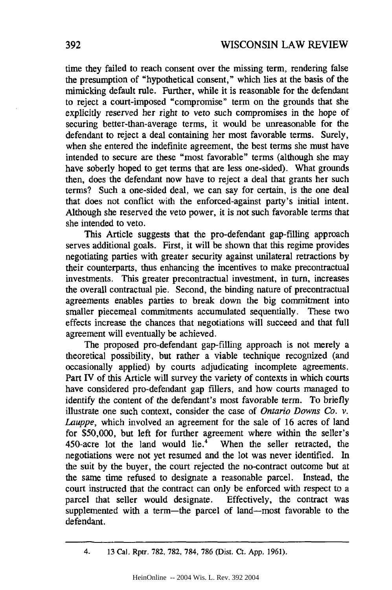time they failed to reach consent over the missing term, rendering false the presumption of "hypothetical consent," which lies at the basis of the mimicking default rule. Further, while it is reasonable for the defendant to reject a court-imposed "compromise" term on the grounds that she explicitly reserved her right to veto such compromises in the hope of securing better-than-average terms, it would be unreasonable for the defendant to reject a deal containing her most favorable terms. Surely, when she entered the indefinite agreement, the best terms she must have intended to secure are these "most favorable" terms (although she may have soberly hoped to get terms that are less one-sided). What grounds then, does the defendant now have to reject a deal that grants her such terms? Such a one-sided deal, we can say for certain, is the one deal that does not conflict with the enforced-against party's initial intent. Although she reserved the veto power, it is not such favorable terms that she intended to veto.

This Article suggests that the pro-defendant gap-filling approach serves additional goals. First, it will be shown that this regime provides negotiating parties with greater security against unilateral retractions by their counterparts, thus enhancing the incentives to make precontractual investments. This greater precontractual investment, in turn, increases the overall contractual pie. Second, the binding nature of precontractual agreements enables parties to break down the big commitment into smaller piecemeal commitments accumulated sequentially. These two effects increase the chances that negotiations will succeed and that full agreement will eventually be achieved.

The proposed pro-defendant gap-filling approach is not merely a theoretical possibility, but rather a viable technique recognized (and occasionally applied) by courts adjudicating incomplete agreements. Part IV of this Article will survey the variety of contexts in which courts have considered pro-defendant gap fillers, and how courts managed to identify the content of the defendant's most favorable term. To briefly illustrate one such context, consider the case of *Ontario Downs Co. v. Lauppe,* which involved an agreement for the sale of 16 acres of land for \$50,000, but left for further agreement where within the seller's 450-acre lot the land would lie.<sup>4</sup> When the seller retracted, the negotiations were not yet resumed and the lot was never identified. In the suit by the buyer, the court rejected the no-contract outcome but at the same time refused to designate a reasonable parcel. Instead, the court instructed that the contract can only be enforced with respect to a parcel that seller would designate. Effectively, the contract was supplemented with a term-the parcel of land-most favorable to the defendant.

<sup>4. 13</sup> Cal. Rptr. **782,** 782, 784, 786 (Dist. Ct. App. 1961).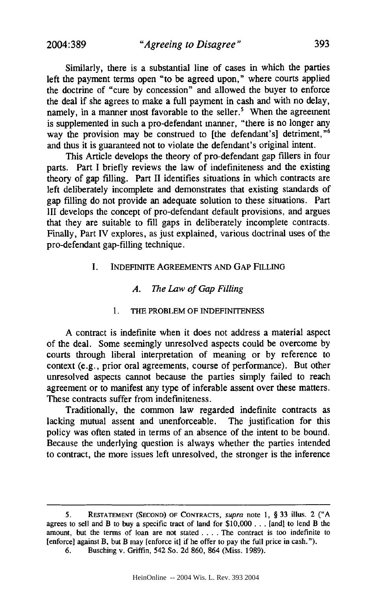Similarly, there is a substantial line of cases in which the parties left the payment terms open "to be agreed upon," where courts applied the doctrine of "cure by concession" and allowed the buyer to enforce the deal if she agrees to make a full payment in cash and with no delay, namely, in a manner most favorable to the seller.<sup>5</sup> When the agreement is supplemented in such a pro-defendant manner, "there is no longer any way the provision may be construed to [the defendant's] detriment,"<sup>6</sup> and thus it is guaranteed not to violate the defendant's original intent.

This Article develops the theory of pro-defendant gap fillers in four parts. Part I briefly reviews the law of indefiniteness and the existing theory of gap filling. Part II identifies situations in which contracts are left deliberately incomplete and demonstrates that existing standards of gap filling do not provide an adequate solution to these situations. Part III develops the concept of pro-defendant default provisions, and argues that they are suitable to fill gaps in deliberately incomplete contracts. Finally, Part IV explores, as just explained, various doctrinal uses of the pro-defendant gap-filling technique.

#### I. INDEFINITE AGREEMENTS AND GAP FILLING

#### *A. The Law of Gap Filling*

#### 1. THE PROBLEM OF INDEFINITENESS

A contract is indefinite when it does not address a material aspect of the deal. Some seemingly unresolved aspects could be overcome by courts through liberal interpretation of meaning or by reference to context (e.g., prior oral agreements, course of performance). But other unresolved aspects cannot because the parties simply failed to reach agreement or to manifest any type of inferable assent over these matters. These contracts suffer from indefiniteness.

Traditionally, the common law regarded indefinite contracts as lacking mutual assent and unenforceable. The justification for this policy was often stated in terms of an absence of the intent to be bound. Because the underlying question is always whether the parties intended to contract, the more issues left unresolved, the stronger is the inference

<sup>5.</sup> **RESTATEMENT (SECOND)** OF **CONTRACTS,** supra note 1, § 33 illus. 2 **("A** agrees to sell and B to buy a specific tract of land for \$10,000 **...** [and] to lend B the amount, but the terms of loan are not stated .... The contract is too indefinite to [enforce] against B, but B may [enforce it] if he offer to pay the full price in cash.").

<sup>6.</sup> Busching v. Griffin, 542 So. 2d 860, 864 (Miss. 1989).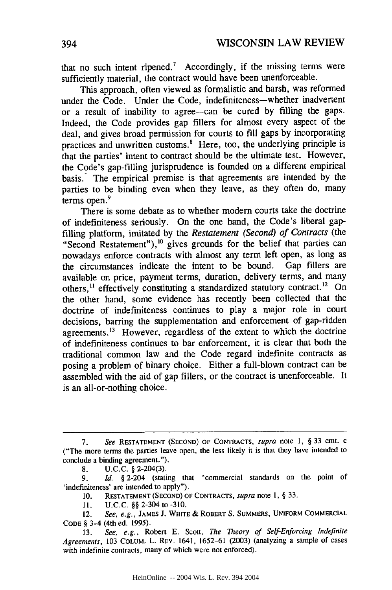that no such intent ripened.<sup>7</sup> Accordingly, if the missing terms were sufficiently material, the contract would have been unenforceable.

This approach, often viewed as formalistic and harsh, was reformed under the Code. Under the Code, indefiniteness—whether inadvertent or a result of inability to agree-can be cured by filling the gaps. Indeed, the Code provides gap fillers for almost every aspect of the deal, and gives broad permission for courts to fill gaps by incorporating practices and unwritten customs.<sup>8</sup> Here, too, the underlying principle is that the parties' intent to contract should be the ultimate test. However, the Code's gap-filling jurisprudence is founded on a different empirical basis. The empirical premise is that agreements are intended by the parties to be binding even when they leave, as they often do, many terms open.<sup>9</sup>

There is some debate as to whether modem courts take the doctrine of indefiniteness seriously. On the one hand, the Code's liberal gapfilling platform, imitated by the *Restatement (Second) of Contracts (the* "Second Restatement"),<sup>10</sup> gives grounds for the belief that parties can nowadays enforce contracts with almost any term left open, as long as the circumstances indicate the intent to be bound. Gap fillers are available on price, payment terms, duration, delivery terms, and many others,<sup>11</sup> effectively constituting a standardized statutory contract.<sup>12</sup> On the other hand, some evidence has recently been collected that the doctrine of indefiniteness continues to play a major role in court decisions, barring the supplementation and enforcement of gap-ridden agreements.<sup>13</sup> However, regardless of the extent to which the doctrine of indefiniteness continues to bar enforcement, it is clear that both the traditional common law and the Code regard indefinite contracts as posing a problem of binary choice. Either a full-blown contract can be assembled with the aid of gap fillers, or the contract is unenforceable. It is an all-or-nothing choice.

11. U.C.C. §§ 2-304 to -310.

*<sup>7.</sup> See* **RESTATEMENT (SECOND)** OF **CONTRACTS,** *supra* note 1, § 33 cmt. c ("The more terms the parties leave open, the less likely it is that they have intended to conclude a binding agreement.").

**<sup>8.</sup>** U.C.C. § 2-204(3).

<sup>9.</sup> *Id.* § 2-204 (stating that "commercial standards on the point of 'indefiniteness' are intended to apply").

<sup>10.</sup> RESTATEMENT **(SECOND)** OF **CONTRACTS,** *supra* note **1,** § 33.

<sup>12.</sup> See, e.g., **JAMES** J. WHITE & ROBERT S. **SUMMERS, UNIFORM** COMMERCIAL **CODE** § 3-4 (4th ed. **1995).**

<sup>13.</sup> *See, e.g.,* Robert E. Scott, *The Theory of Self-Enforcing Indefinite Agreements,* 103 **COLUM.** L. REV. 1641, 1652-61 (2003) (analyzing a sample of cases with indefinite contracts, many of which were not enforced).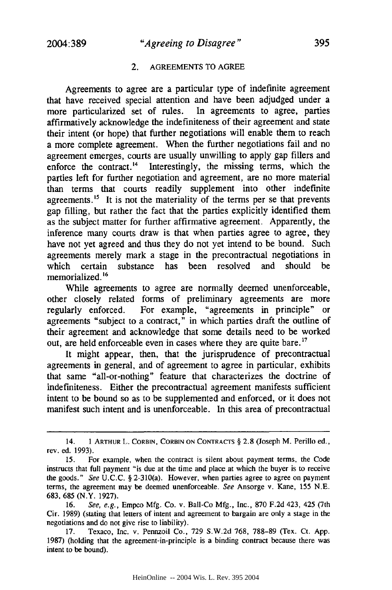#### 2. AGREEMENTS TO AGREE

Agreements to agree are a particular type of indefinite agreement that have received special attention and have been adjudged under a more particularized set of rules. In agreements to agree, parties affirmatively acknowledge the indefiniteness of their agreement and state their intent (or hope) that further negotiations will enable them to reach a more complete agreement. When the further negotiations fail and no agreement emerges, courts are usually unwilling to apply gap fillers and enforce the contract.<sup>14</sup> Interestingly, the missing terms, which the parties left for further negotiation and agreement, are no more material than terms that courts readily supplement into other indefinite agreements.<sup>15</sup> It is not the materiality of the terms per se that prevents gap filling, but rather the fact that the parties explicitly identified them as the subject matter for further affirmative agreement. Apparently, the inference many courts draw is that when parties agree to agree, they have not yet agreed and thus they do not yet intend to be bound. Such agreements merely mark a stage in the precontractual negotiations in which certain substance has been resolved and should be memorialized. **6**

While agreements to agree are normally deemed unenforceable, other closely related forms of preliminary agreements are more regularly enforced. For example, "agreements in principle" or agreements "subject to a contract," in which parties draft the outline of their agreement and acknowledge that some details need to be worked out, are held enforceable even in cases where they are quite bare.<sup>17</sup>

It might appear, then, that the jurisprudence of precontractual agreements in general, and of agreement to agree in particular, exhibits that same "all-or-nothing" feature that characterizes the doctrine of indefiniteness. Either the precontractual agreement manifests sufficient intent to be bound so as to be supplemented and enforced, or it does not manifest such intent and is unenforceable. In this area of precontractual

<sup>14. 1</sup> ARTHUR L. CORBIN, CORBIN **ON** CONTRACTS § 2.8 (Joseph M. Perillo ed., rev. ed. 1993).

<sup>15.</sup> For example, when the contract is silent about payment terms, the Code instructs that full payment "is due at the time and place at which the buyer is to receive the goods." *See* U.C.C. § 2-310(a). However, when parties agree to agree on payment terms, the agreement may be deemed unenforceable. *See* Ansorge v. Kane, 155 N.E. 683, 685 (N.Y. 1927).

<sup>16.</sup> *See, e.g.,* Empco Mfg. Co. v. Ball-Co Mfg., Inc., 870 F.2d 423, 425 (7th Cir. 1989) (stating that letters of intent and agreement to bargain are only a stage in the negotiations and do not give rise to liability).

<sup>17.</sup> Texaco, Inc. v. Pennzoil Co., 729 S.W.2d 768, 788-89 (Tex. Ct. App. 1987) (holding that the agreement-in-principle is a binding contract because there was intent to be bound).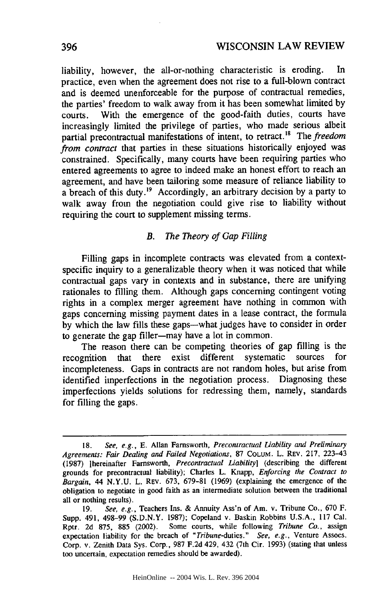liability, however, the all-or-nothing characteristic is eroding. In practice, even when the agreement does not rise to a full-blown contract and is deemed unenforceable for the purpose of contractual remedies, the parties' freedom to walk away from it has been somewhat limited by courts. With the emergence of the good-faith duties, courts have increasingly limited the privilege of parties, who made serious albeit partial precontractual manifestations of intent, to retract.<sup>18</sup> The *freedom from contract* that parties in these situations historically enjoyed was constrained. Specifically, many courts have been requiring parties who entered agreements to agree to indeed make an honest effort to reach an agreement, and have been tailoring some measure of reliance liability to a breach of this duty.<sup>19</sup> Accordingly, an arbitrary decision by a party to walk away from the negotiation could give rise to liability without requiring the court to supplement missing terms.

#### *B. The Theory of Gap Filling*

Filling gaps in incomplete contracts was elevated from a contextspecific inquiry to a generalizable theory when it was noticed that while contractual gaps vary in contexts and in substance, there are unifying rationales to filling them. Although gaps concerning contingent voting rights in a complex merger agreement have nothing in common with gaps concerning missing payment dates in a lease contract, the formula by which the law fills these gaps—what judges have to consider in order to generate the gap filler-may have a lot in common.

The reason there can be competing theories of gap filling is the recognition that there exist different systematic sources for incompleteness. Gaps in contracts are not random holes, but arise from identified imperfections in the negotiation process. Diagnosing these imperfections yields solutions for redressing them, namely, standards for filling the gaps.

**<sup>18.</sup>** *See,* e.g., **E.** Allan Farnsworth, *Precontractual liability and Preliminary Agreements: Fair Dealing and Failed Negotiations,* 87 COLUM. L. REV. 217, 223-43 (1987) [hereinafter Farnsworth, *Precontractual Liability]* (describing the different grounds for precontractual liability); Charles L. Knapp, *Enforcing the Contract to Bargain,* 44 N.Y.U. L. REV. 673, 679-81 (1969) (explaining the emergence of the obligation to negotiate in good faith as an intermediate solution between the traditional all or nothing results).

<sup>19.</sup> *See, e.g.,* Teachers Ins. & Annuity Ass'n of Am. v. Tribune Co., 670 F. Supp. 491, 498-99 (S.D.N.Y. 1987); Copeland v. Baskin Robbins U.S.A., 117 Cal. Rptr. 2d 875, 885 (2002). Some courts, while following *Tribune Co.,* assign expectation liability for the breach of *"Tribune-duties." See, e.g.,* Venture Assocs. Corp. v. Zenith Data Sys. Corp., 987 F.2d 429, 432 (7th Cir. 1993) (stating that unless too uncertain, expectation remedies should be awarded).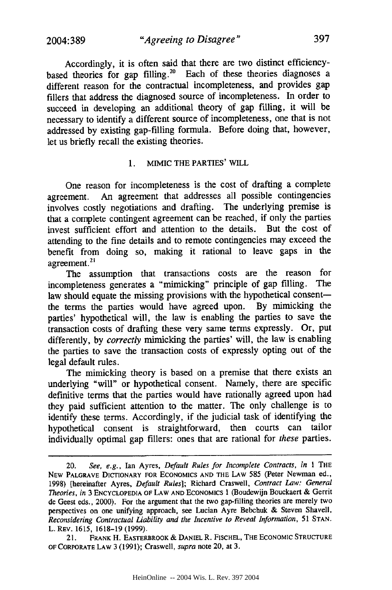*"Agreeing to Disagree"*

Accordingly, it is often said that there are two distinct efficiencybased theories for gap filling.<sup>20</sup> Each of these theories diagnoses a different reason for the contractual incompleteness, and provides gap fillers that address the diagnosed source of incompleteness. In order to succeed in developing an additional theory of gap filling, it will be necessary to identify a different source of incompleteness, one that is not addressed by existing gap-filling formula. Before doing that, however, let us briefly recall the existing theories.

#### 1. MIMIC THE PARTIES' WILL

One reason for incompleteness is the cost of drafting a complete agreement. An agreement that addresses all possible contingencies involves costly negotiations and drafting. The underlying premise is that a complete contingent agreement can be reached, if only the parties invest sufficient effort and attention to the details. But the cost of attending to the fine details and to remote contingencies may exceed the benefit from doing so, making it rational to leave gaps in the  $\alpha$ greement.<sup>21</sup>

The assumption that transactions costs are the reason for incompleteness generates a "mimicking" principle of gap filling. The law should equate the missing provisions with the hypothetical consentthe terms the parties would have agreed upon. By mimicking the parties' hypothetical will, the law is enabling the parties to save the transaction costs of drafting these very same terms expressly. Or, put differently, by *correctly* mimicking the parties' will, the law is enabling the parties to save the transaction costs of expressly opting out of the legal default rules.

The mimicking theory is based on a premise that there exists an underlying "will" or hypothetical consent. Namely, there are specific definitive terms that the parties would have rationally agreed upon had they paid sufficient attention to the matter. The only challenge is to identify these terms. Accordingly, if the judicial task of identifying the hypothetical consent is straightforward, then courts can tailor individually optimal gap fillers: ones that are rational for *these* parties.

21. FRANK H. EASTERBROOK **&** DANIEL R. F[SCHEL, THE ECONOMIC STRUCTURE OF CORPORATE LAW 3 (1991); Craswell, *supra* note 20, at 3.

<sup>20.</sup> *See, e.g.,* Ian Ayres, *Default Rules for Incomplete Contracts, in* **I** THE NEW PALGRAVE DICTIONARY FOR ECONOMICS AND THE LAW 585 (Peter Newman ed., 1998) [hereinafter Ayres, *Default Rules];* Richard Craswell, *Contract Law: General Theories, in* 3 ENCYCLOPEDIA OF LAW AND ECONOMICS **1** (Boudewijn Bouckaert **&** Gerrit de Geest eds., 2000). For the argument that the two gap-filling theories are merely two perspectives on one unifying approach, see Lucian Ayre Bebchuk & Steven Shavell, *Reconsidering Contractual Liability and the Incentive to Reveal Information,* 51 **STAN.** L. REV. 1615, 1618-19 (1999).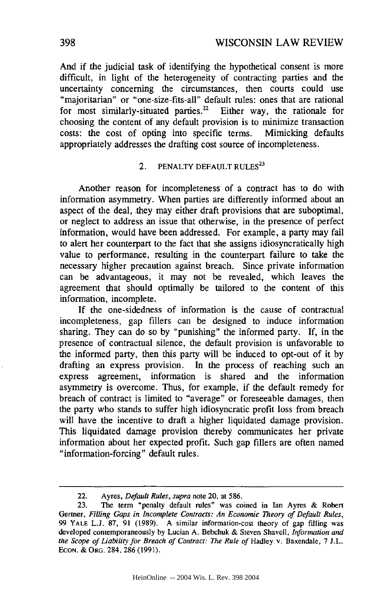And if the judicial task of identifying the hypothetical consent is more difficult, in light of the heterogeneity of contracting parties and the uncertainty concerning the circumstances, then courts could use "majoritarian" or "one-size-fits-all" default rules: ones that are rational for most similarly-situated parties.<sup>22</sup> Either way, the rationale for choosing the content of any default provision is to minimize transaction costs: the cost of opting into specific terms. Mimicking defaults appropriately addresses the drafting cost source of incompleteness.

# 2. PENALTY DEFAULT RULES<sup>23</sup>

Another reason for incompleteness of a contract has to do with information asymmetry. When parties are differently informed about an aspect of the deal, they may either draft provisions that are suboptimal, or neglect to address an issue that otherwise, in the presence of perfect information, would have been addressed. For example, a party may fail to alert her counterpart to the fact that she assigns idiosyncratically high value to performance, resulting in the counterpart failure to take the necessary higher precaution against breach. Since private information can be advantageous, it may not be revealed, which leaves the agreement that should optimally be tailored to the content of this information, incomplete.

If the one-sidedness of information is the cause of contractual incompleteness, gap fillers can be designed to induce information sharing. They can do so by "punishing" the informed party. If, in the presence of contractual silence, the default provision is unfavorable to the informed party, then this party will be induced to opt-out of it by drafting an express provision. In the process of reaching such an express agreement, information is shared and the information asymmetry is overcome. Thus, for example, if the default remedy for breach of contract is limited to "average" or foreseeable damages, then the party who stands to suffer high idiosyncratic profit loss from breach will have the incentive to draft a higher liquidated damage provision. This liquidated damage provision thereby communicates her private information about her expected profit. Such gap fillers are often named "information-forcing" default rules.

<sup>22.</sup> Ayres, *Default Rules,* supra note 20, at 586.

<sup>23.</sup> The term "penalty default rules" was coined in Ian Ayres & Robert Gertner, *Filling Gaps in Incomplete Contracts: An Economic Theory of Default Rules,* 99 YALE L.J. 87, 91 (1989). A similar information-cost theory of gap filling was developed contemporaneously by Lucian A. Bebchuk & Steven Shavell, *Information and* the Scope of Liability for Breach of Contract: The Rule of Hadley v. Baxendale, 7 J.L. EcON. & ORG. 284, 286 (1991).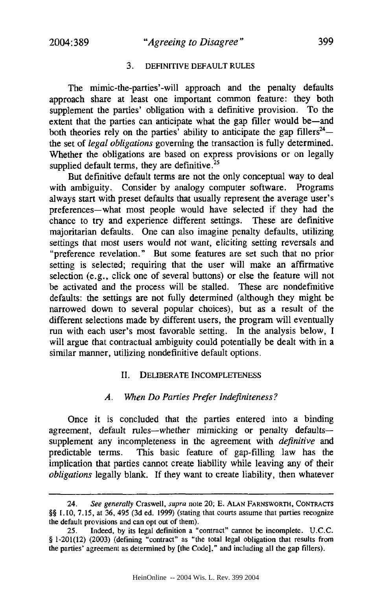#### 3. **DEFINITIVE DEFAULT RULES**

The mimic-the-parties'-will approach and the penalty defaults approach share at least one important common feature: they both supplement the parties' obligation with a definitive provision. To the extent that the parties can anticipate what the gap filler would be-and both theories rely on the parties' ability to anticipate the gap fillers<sup>24</sup> $$ the set of *legal obligations* governing the transaction is fully determined. Whether the obligations are based on express provisions or on legally supplied default terms, they are definitive. $25$ 

But definitive default terms are not the only conceptual way to deal with ambiguity. Consider by analogy computer software. Programs always start with preset defaults that usually represent the average user's preferences-what most people would have selected if they had the chance to try and experience different settings. These are definitive majoritarian defaults. One can also imagine penalty defaults, utilizing settings that most users would not want, eliciting setting reversals and "preference revelation." But some features are set such that no prior setting is selected; requiring that the user will make an affirmative selection (e.g., click one of several buttons) or else the feature will not be activated and the process will be stalled. These are nondefmitive defaults: the settings are not fully determined (although they might be narrowed down to several popular choices), but as a result of the different selections made by different users, the program will eventually run with each user's most favorable setting. In the analysis below, I will argue that contractual ambiguity could potentially be dealt with in a similar manner, utilizing nondefinitive default options.

#### II. DELIBERATE **INCOMPLETENESS**

#### *A. When Do Parties Prefer Indefiniteness?*

Once it is concluded that the parties entered into a binding agreement, default rules-whether mimicking or penalty defaultssupplement any incompleteness in the agreement with *definitive and* predictable terms. This basic feature of gap-filling law has the implication that parties cannot create liability while leaving any of their *obligations* legally blank. If they want to create liability, then whatever

<sup>24.</sup> *See generally* Craswell, *supra* note 20; **E. ALAN** FARNSWORTH, **CONTRACTS** *§§* 1.10, 7.15, at 36, 495 (3d ed. 1999) (stating that courts assume that parties recognize the default provisions and can opt out of them).

Indeed, by its legal definition a "contract" cannot be incomplete. U.C.C. § 1-201(12) (2003) (defining "contract" as "the total legal obligation that results from the parties' agreement as determined by [the Code]," and including all the gap fillers).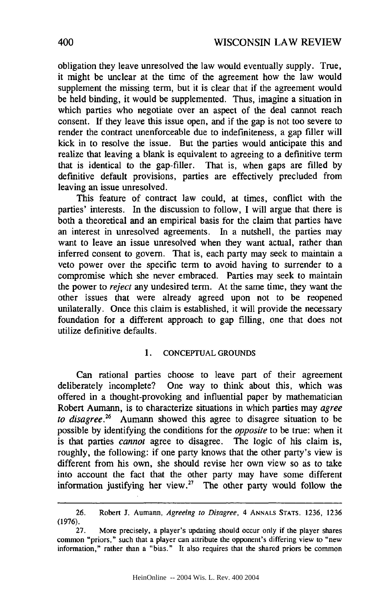obligation they leave unresolved the law would eventually supply. True, it might be unclear at the time of the agreement how the law would supplement the missing term, but it is clear that if the agreement would be held binding, it would be supplemented. Thus, imagine a situation in which parties who negotiate over an aspect of the deal cannot reach consent. If they leave this issue open, and if the gap is not too severe to render the contract unenforceable due to indefiniteness, a gap filler will kick in to resolve the issue. But the parties would anticipate this and realize that leaving a blank is equivalent to agreeing to a definitive term that is identical to the gap-filler. That is, when gaps are filled by definitive default provisions, parties are effectively precluded from leaving an issue unresolved.

This feature of contract law could, at times, conflict with the parties' interests. In the discussion to follow, I will argue that there is both a theoretical and an empirical basis for the claim that parties have an interest in unresolved agreements. In a nutshell, the parties may want to leave an issue unresolved when they want actual, rather than inferred consent to govern. That is, each party may seek to maintain a veto power over the specific term to avoid having to surrender to a compromise which she never embraced. Parties may seek to maintain the power to *reject* any undesired term. At the same time, they want the other issues that were already agreed upon not to be reopened unilaterally. Once this claim is established, it will provide the necessary foundation for a different approach to gap filling, one that does not utilize definitive defaults.

#### 1. CONCEPTUAL GROUNDS

Can rational parties choose to leave part of their agreement deliberately incomplete? One way to think about this, which was offered in a thought-provoking and influential paper by mathematician Robert Aumann, is to characterize situations in which parties may *agree to disagree.26* Aumann showed this agree to disagree situation to be possible by identifying the conditions for the *opposite* to be true: when it is that parties *cannot* agree to disagree. The logic of his claim is, roughly, the following: if one party knows that the other party's view is different from his own, she should revise her own view so as to take into account the fact that the other party may have some different information justifying her view.<sup>27</sup> The other party would follow the

<sup>26.</sup> Robert J. Aumann, *Agreeing to Disagree,* 4 **ANNALS STATS.** 1236, 1236 (1976).

More precisely, a player's updating should occur only if the player shares common "priors," such that a player can attribute the opponent's differing view to "new information," rather than a "bias." It also requires that the shared priors be common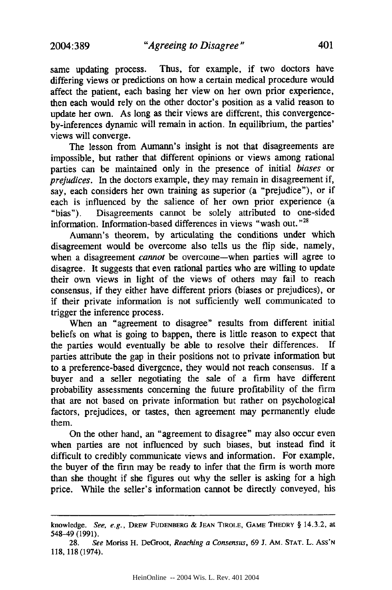same updating process. Thus, for example, if two doctors have differing views or predictions on how a certain medical procedure would affect the patient, each basing her view on her own prior experience, then each would rely on the other doctor's position as a valid reason to update her own. As long as their views are different, this convergenceby-inferences dynamic will remain in action. In equilibrium, the parties' views will converge.

The lesson from Aumann's insight is not that disagreements are impossible, but rather that different opinions or views among rational parties can be maintained only in the presence of initial *biases* or *prejudices.* In the doctors example, they may remain in disagreement if, say, each considers her own training as superior (a "prejudice"), or if each is influenced by the salience of her own prior experience (a "bias"). Disagreements cannot be solely attributed to one-sided information. Information-based differences in views "wash out."<sup>28</sup>

Aumann's theorem, by articulating the conditions under which disagreement would be overcome also tells us the flip side, namely, when a disagreement *cannot* be overcome-when parties will agree to disagree. It suggests that even rational parties who are willing to update their own views in light of the views of others may fail to reach consensus, if they either have different priors (biases or prejudices), or if their private information is not sufficiently well communicated to trigger the inference process.

When an "agreement to disagree" results from different initial beliefs on what is going to happen, there is little reason to expect that the parties would eventually be able to resolve their differences. If parties attribute the gap in their positions not to private information but to a preference-based divergence, they would not reach consensus. If a buyer and a seller negotiating the sale of a firm have different probability assessments concerning the future profitability of the firm that are not based on private information but rather on psychological factors, prejudices, or tastes, then agreement may permanently elude them.

On the other hand, an "agreement to disagree" may also occur even when parties are not influenced by such biases, but instead find it difficult to credibly communicate views and information. For example, the buyer of the firm may be ready to infer that the firm is worth more than she thought if she figures out why the seller is asking for a high price. While the seller's information cannot be directly conveyed, his

knowledge. *See, e.g.,* DREW **FUDENBERG** & **JEAN** TIROLE, **GAME** THEORY § 14.3.2, at 548-49 (1991).

<sup>28.</sup> *See* Moriss H. DeGroot, *Reaching a Consensus,* 69 J. AM. **STAT.** L. Ass'N 118, 118(1974).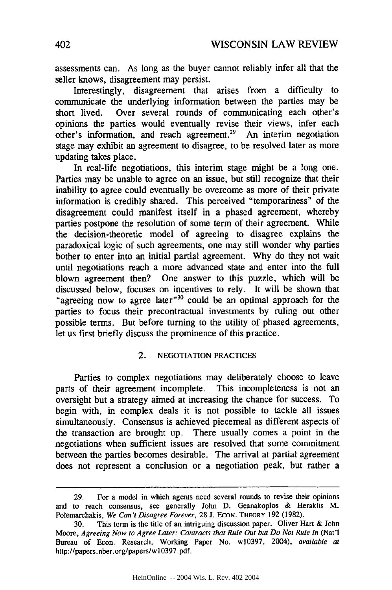assessments can. As long as the buyer cannot reliably infer all that the seller knows, disagreement may persist.

Interestingly, disagreement that arises from a difficulty to communicate the underlying information between the parties may be short lived. Over several rounds of communicating each other's opinions the parties would eventually revise their views, infer each other's information, and reach agreement.29 An interim negotiation stage may exhibit an agreement to disagree, to be resolved later as more updating takes place.

In real-life negotiations, this interim stage might be a long one. Parties may be unable to agree on an issue, but still recognize that their inability to agree could eventually be overcome as more of their private information is credibly shared. This perceived "temporariness" of the disagreement could manifest itself in a phased agreement, whereby parties postpone the resolution of some term of their agreement. While the decision-theoretic model of agreeing to disagree explains the paradoxical logic of such agreements, one may still wonder why parties bother to enter into an initial partial agreement. Why do they not wait until negotiations reach a more advanced state and enter into the full blown agreement then? One answer to this puzzle, which will be discussed below, focuses on incentives to rely. It will be shown that "agreeing now to agree later"<sup>30</sup> could be an optimal approach for the parties to focus their precontractual investments by ruling out other possible terms. But before turning to the utility of phased agreements, let us first briefly discuss the prominence of this practice.

#### 2. **NEGOTIATION** PRACTICES

Parties to complex negotiations may deliberately choose to leave parts of their agreement incomplete. This incompleteness is not an oversight but a strategy aimed at increasing the chance for success. To begin with, in complex deals it is not possible to tackle all issues simultaneously. Consensus is achieved piecemeal as different aspects of the transaction are brought up. There usually comes a point in the negotiations when sufficient issues are resolved that some commitment between the parties becomes desirable. The arrival at partial agreement does not represent a conclusion or a negotiation peak, but rather a

<sup>29.</sup> For a model in which agents need several rounds to revise their opinions and to reach consensus, see generally John D. Geanakoplos & Heraklis M. Polemarchakis, *We Can't Disagree Forever*, 28 J. Econ. THEORY 192 (1982).

<sup>30.</sup> This term is the title of an intriguing discussion paper. Oliver Hart & John Moore, Agreeing Now to Agree Later: Contracts that Rule Out but Do Not Rule In (Nat'l Bureau of Econ. Research, Working Paper No. w10397, 2004). *available at* http://papers.nber.org/papers/w10397.pdf.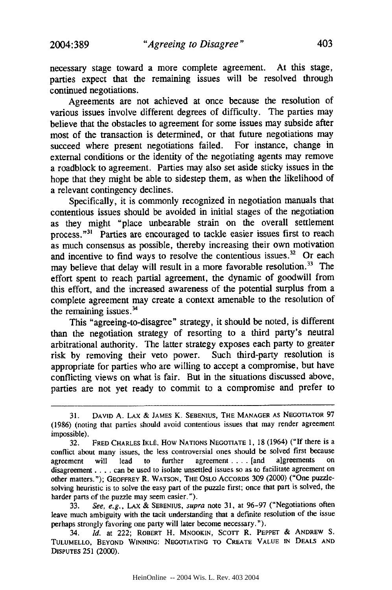necessary stage toward a more complete agreement. At this stage, parties expect that the remaining issues will be resolved through continued negotiations.

Agreements are not achieved at once because the resolution of various issues involve different degrees of difficulty. The parties may believe that the obstacles to agreement for some issues may subside after most of the transaction is determined, or that future negotiations may succeed where present negotiations failed. For instance, change in external conditions or the identity of the negotiating agents may remove a roadblock to agreement. Parties may also set aside sticky issues in the hope that they might be able to sidestep them, as when the likelihood of a relevant contingency declines.

Specifically, it is commonly recognized in negotiation manuals that contentious issues should be avoided in initial stages of the negotiation as they might "place unbearable strain on the overall settlement process."<sup>31</sup> Parties are encouraged to tackle easier issues first to reach as much consensus as possible, thereby increasing their own motivation and incentive to find ways to resolve the contentious issues. $32$  Or each may believe that delay will result in a more favorable resolution.<sup>33</sup> The effort spent to reach partial agreement, the dynamic of goodwill from this effort, and the increased awareness of the potential surplus from a complete agreement may create a context amenable to the resolution of the remaining issues. $34$ 

This "agreeing-to-disagree" strategy, it should be noted, is different than the negotiation strategy of resorting to a third party's neutral arbitrational authority. The latter strategy exposes each party to greater risk by removing their veto power. Such third-party resolution is appropriate for parties who are willing to accept a compromise, but have conflicting views on what is fair. But in the situations discussed above, parties are not yet ready to commit to a compromise and prefer to

33. *See, e.g.,* LAX & SEBENIUS, *supra* note 31, at 96-97 ("Negotiations often leave much ambiguity with the tacit understanding that a definite resolution of the issue perhaps strongly favoring one party will later become necessary. ").

34. *Id.* at 222; ROBERT H. **MNOOKIN,** Scorr R. PEPPEr & ANDREW **S.** TULUMELLO, BEYOND WINNING: NEGOTIATING TO CREATE VALUE **IN** DEALS **AND** DISPUTES **251** (2000).

**<sup>31.</sup> DAVID A.** LAX & JAMES K. SEBENIUS, **THE MANAGER AS NEGOTIATOR** 97 (1986) (noting that parties should avoid contentious issues that may render agreement impossible).

<sup>32.</sup> FRED CHARLES IKLÉ, HOW NATIONS NEGOTIATE 1, 18 (1964) ("If there is a conflict about many issues, the less controversial ones should be solved first because agreement will lead to further agreement .... [and algreements on disagreement **....** can be used to isolate unsettled issues so as to facilitate agreement on other matters."); GEOFFREY R. WATSON, THE OSLO ACCORDS 309 (2000) ("One puzzlesolving heuristic is to solve the easy part of the puzzle first; once that part is solved, the harder parts of the puzzle may seem easier.").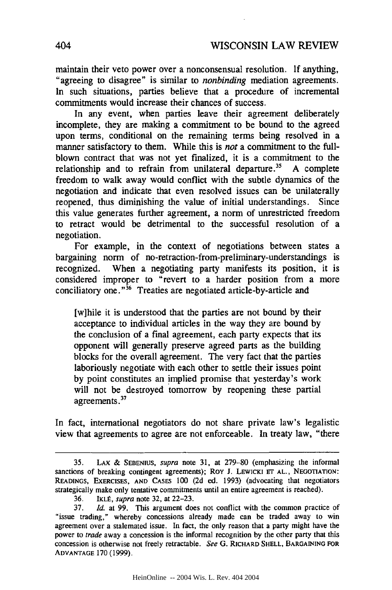maintain their veto power over a nonconsensual resolution. If anything, "agreeing to disagree" is similar to *nonbinding* mediation agreements. In such situations, parties believe that a procedure of incremental commitments would increase their chances of success.

In any event, when parties leave their agreement deliberately incomplete, they are making a commitment to be bound to the agreed upon terms, conditional on the remaining terms being resolved in a manner satisfactory to them. While this is *not* a commitment to the fullblown contract that was not yet finalized, it is a commitment to the relationship and to refrain from unilateral departure.<sup>35</sup> A complete freedom to walk away would conflict with the subtle dynamics of the negotiation and indicate that even resolved issues can be unilaterally reopened, thus diminishing the value of initial understandings. Since this value generates further agreement, a norm of unrestricted freedom to retract would be detrimental to the successful resolution of a negotiation.

For example, in the context of negotiations between states a bargaining norm of no-retraction-from-preliminary-understandings is recognized. When a negotiating party manifests its position, it is considered improper to "revert to a harder position from a more conciliatory one."<sup>36</sup> Treaties are negotiated article-by-article and

[w]hile it is understood that the parties are not bound by their acceptance to individual articles in the way they are bound by the conclusion of a final agreement, each party expects that its opponent will generally preserve agreed parts as the building blocks for the overall agreement. The very fact that the parties laboriously negotiate with each other to settle their issues point by point constitutes an implied promise that yesterday's work will not be destroyed tomorrow by reopening these partial agreements.<sup>37</sup>

In fact, international negotiators do not share private law's legalistic view that agreements to agree are not enforceable. In treaty law, "there

<sup>35.</sup> LAX & SEBENIUS, supra note 31, at 279-80 (emphasizing the informal sanctions of breaking contingent agreements); Roy J. LEWICKI **ET** AL., NEGOTIATION: READINGS, EXERCISES, **AND** CASES 100 (2d ed. 1993) (advocating that negotiators strategically make only tentative commitments until an entire agreement is reached).

<sup>36.</sup> IKLÉ, *supra* note 32, at 22-23.

<sup>37.</sup> *Id.* at 99. This argument does not conflict with the common practice of "issue trading," whereby concessions already made can be traded away to win agreement over a stalemated issue. In fact, the only reason that a party might have the power to *trade* away a concession is the informal recognition by the other party that this concession is otherwise not freely retractable. *See* G. RICHARD SHELL, BARGAINING FOR ADVANTAGE 170(1999).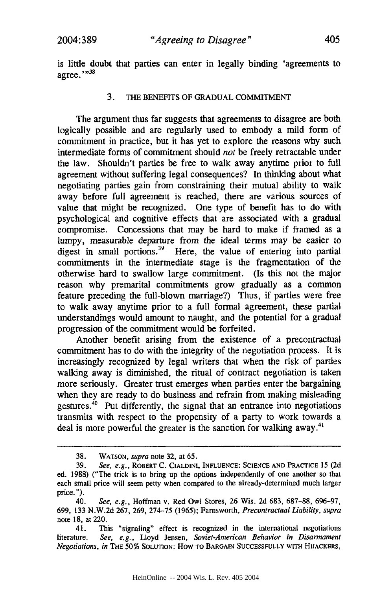is little doubt that parties can enter in legally binding 'agreements to agree." $^{98}$ 

#### 3. **THE** BENEFITS OF **GRADUAL COMMITMENT**

The argument thus far suggests that agreements to disagree are both logically possible and are regularly used to embody a mild form of commitment in practice, but it has yet to explore the reasons why such intermediate forms of commitment should *not* be freely retractable under the law. Shouldn't parties be free to walk away anytime prior to full agreement without suffering legal consequences? In thinking about what negotiating parties gain from constraining their mutual ability to walk away before full agreement is reached, there are various sources of value that might be recognized. One type of benefit has to do with psychological and cognitive effects that are associated with a gradual compromise. Concessions that may be hard to make if framed as a lumpy, measurable departure from the ideal terms may be easier to digest in small portions.<sup>39</sup> Here, the value of entering into partial commitments in the intermediate stage is the fragmentation of the otherwise hard to swallow large commitment. (Is this not the major reason why premarital commitments grow gradually as a common feature preceding the full-blown marriage?) Thus, if parties were free to walk away anytime prior to a full formal agreement, these partial understandings would amount to naught, and the potential for a gradual progression of the commitment would be forfeited.

Another benefit arising from the existence of a precontractual commitment has to do with the integrity of the negotiation process. It is increasingly recognized by legal writers that when the risk of parties walking away is diminished, the ritual of contract negotiation is taken more seriously. Greater trust emerges when parties enter the bargaining when they are ready to do business and refrain from making misleading gestures. $40$  Put differently, the signal that an entrance into negotiations transmits with respect to the propensity of a party to work towards a deal is more powerful the greater is the sanction for walking away.<sup>41</sup>

<sup>38.</sup> **WATSON,** supra note 32, at 65.

**<sup>39.</sup>** See, *e.g.,* ROBERT **C. CIALDINI, INFLUENCE: SCIENCE AND** PRACTICE 15 (2d ed. 1988) ("The trick is to bring up the options independently of one another so that each small price will seem petty when compared to the already-determined much larger price. ").

<sup>40.</sup> *See, e.g.,* Hoffman v. Red Owl Stores, 26 Wis. 2d 683, 687-88, 696-97, **699,** 133 N.W.2d 267, 269, 274-75 (1965); Farnsworth, *Precontractual Liability, supra* note 18, at 220.

<sup>41.</sup> This "signaling" effect is recognized in the international negotiations literature. *See, e.g.,* Lloyd Jensen, *Soviet-American Behavior in Disarmament Negotiations, in* **THE 50% SOLUTION:** How **TO** BARGAIN **SUCCESSFULLY WITH HIJACKERS,**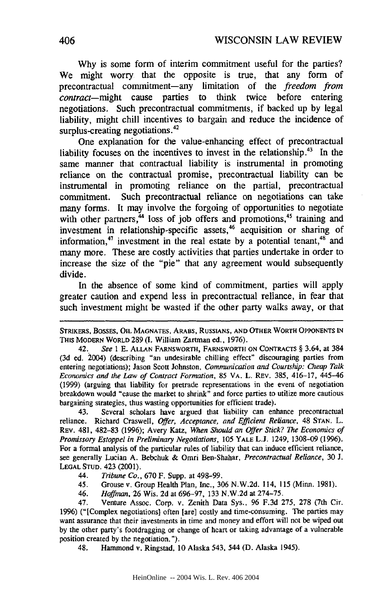Why is some form of interim commitment useful for the parties? We might worry that the opposite is true, that any form of precontractual commitment-any limitation of the *freedom from contract-might* cause parties to think twice before entering negotiations. Such precontractual commitments, if backed up by legal liability, might chill incentives to bargain and reduce the incidence of surplus-creating negotiations.<sup>42</sup>

One explanation for the value-enhancing effect of precontractual liability focuses on the incentives to invest in the relationship.<sup>43</sup> In the same manner that contractual liability is instrumental in promoting reliance on the contractual promise, precontractual liability can be instrumental in promoting reliance on the partial, precontractual commitment. Such precontractual reliance on negotiations can take many forms. It may involve the forgoing of opportunities to negotiate with other partners, $44$  loss of job offers and promotions, $45$  training and investment in relationship-specific assets,<sup>46</sup> aequisition or sharing of information,<sup>47</sup> investment in the real estate by a potential tenant,<sup>48</sup> and many more. These are costly activities that parties undertake in order to increase the size of the "pie" that any agreement would subsequently divide.

In the absence of some kind of commitment, parties will apply greater caution and expend less in precontractual reliance, in fear that such investment might be wasted if the other party walks away, or that

STRIKERS, **BOSSES,** OIL **MAGNATES,** ARABS, RUSSIANS, **AND** OTHER WORTH **OPPONENTS IN** THIS MODERN WORLD 289 **(1.** William Zartman ed., 1976).

42. *See* 1 E. ALLAN FARNSWORTH, FARNSWORTH ON CONTRACTS § 3.64, at 384 (3d ed. 2004) (describing "an undesirable chilling effect" discouraging parties from entering negotiations); Jason Scott Johnston, *Communication and Courtship: Cheap Talk Economics and the Law of Contract Formation,* 85 VA. L. REV. 385, 416-17, 445-46 (1999) (arguing that liability for pretrade representations in the event of negotiation breakdown would "cause the market to shrink" and force parties to utilize more cautious bargaining strategies, thus wasting opportunities for efficient trade).

43. Several scholars have argued that liability can enhance precontractual reliance. Richard Craswell, *Offer, Acceptance, and Efficient Reliance,* 48 **STAN.** L. REV. 481, **482-83 (1996);** Avery Katz, *When Should an Offer Stick? The Economics of Promissory Estoppel in Preliminary Negotiations,* 105 YALE L.J. 1249, 1308-09 (1996). For a formal analysis of the particular rules of liability that can induce efficient reliance, see generally Lucian A. Bebchuk & Omri Ben-Shahar, *Precontractual Reliance,* 30 J. LEGAL **STUD.** 423 (2001).

- 44. *Tribune* Co., 670 F. Supp. at 498-99.
- 45. Grouse v. Group Health Plan, Inc., 306 N.W.2d. 114, 115 (Minn. 1981).
- 46. *Hoffman,* 26 Wis. 2d at 696-97, 133 N.W.2d at 274-75.

47. Venture Assoc. Corp. v. Zenith Data Sys., 96 F.3d 275, 278 (7th Cir. 1996) ("[Complex negotiations] often [are] costly and time-consuming. The parties may want assurance that their investments in time and money and effort will not be wiped out by the other party's footdragging or change of heart or taking advantage of a vulnerable position created by the negotiation. ").

48. Hammond v. Ringstad, 10 Alaska 543, 544 (D. Alaska 1945).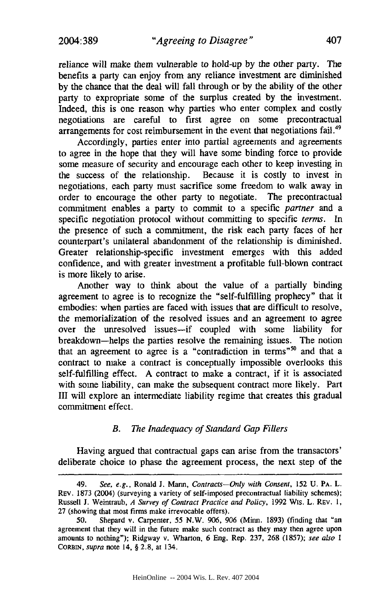reliance will make them vulnerable to hold-up by the other party. The benefits a party can enjoy from any reliance investment are diminished by the chance that the deal will fall through or by the ability of the other party to expropriate some of the surplus created by the investment. Indeed, this is one reason why parties who enter complex and costly negotiations are careful to first agree on some precontractual arrangements for cost reimbursement in the event that negotiations fail.<sup>49</sup>

Accordingly, parties enter into partial agreements and agreements to agree in the hope that they will have some binding force to provide some measure of security and encourage each other to keep investing in the success of the relationship. Because it is costly to invest in negotiations, each party must sacrifice some freedom to walk away in order to encourage the other party to negotiate. The precontractual commitment enables a party to commit to a specific *partner* and a specific negotiation protocol without committing to specific *terms.* In the presence of such a commitment, the risk each party faces of her counterpart's unilateral abandonment of the relationship is diminished. Greater relationship-specific investment emerges with this added confidence, and with greater investment a profitable full-blown contract is more likely to arise.

Another way to think about the value of a partially binding agreement to agree is to recognize the "self-fulfilling prophecy" that it embodies: when parties are faced with issues that are difficult to resolve, the memorialization of the resolved issues and an agreement to agree over the unresolved issues-if coupled with some liability for breakdown-helps the parties resolve the remaining issues. The notion that an agreement to agree is a "contradiction in terms"<sup>50</sup> and that a contract to make a contract is conceptually impossible overlooks this self-fulfilling effect. A contract to make a contract, if it is associated with some liability, can make the subsequent contract more likely. Part III will explore an intermediate liability regime that creates this gradual commitment effect.

#### *B. The Inadequacy of Standard Gap Fillers*

Having argued that contractual gaps can arise from the transactors' deliberate choice to phase the agreement process, the next step of the

<sup>49.</sup> *See, e.g.,* Ronald J. Mann, *Contracts-Only with Consent,* **152 U.** PA. L. REV. 1873 (2004) (surveying a variety of self-imposed precontractual liability schemes); Russell J. Weintraub, *A Survey of Contract Practice and Policy,* 1992 Wis. L. REV. 1, 27 (showing that most firms make irrevocable offers).

<sup>50.</sup> Shepard v. Carpenter, 55 N.W. 906, **906** (Minn. 1893) (finding that "an agreement that they will in the future make such contract as they may then agree upon amounts to nothing"); Ridgway v. Wharton, 6 Eng. Rep. 237, 268 (1857); *see also I* CORBIN, *supra* note 14, § 2.8, at 134.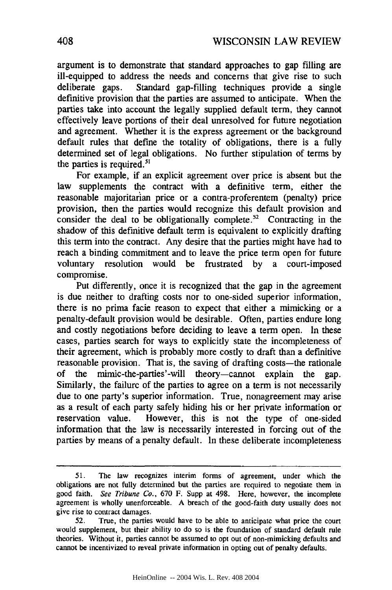argument is to demonstrate that standard approaches to gap filling are ill-equipped to address the needs and concerns that give rise to such deliberate gaps. Standard gap-filling techniques provide a single definitive provision that the parties are assumed to anticipate. When the parties take into account the legally supplied default term, they cannot effectively leave portions of their deal unresolved for future negotiation and agreement. Whether it is the express agreement or the background default rules that define the totality of obligations, there is a fully determined set of legal obligations. No further stipulation of terms by the parties is required. $51$ 

For example, if an explicit agreement over price is absent but the law supplements the contract with a definitive term, either the reasonable majoritarian price or a contra-proferentem (penalty) price provision, then the parties would recognize this default provision and consider the deal to be obligationally complete.<sup>52</sup> Contracting in the shadow of this definitive default term is equivalent to explicitly drafting this term into the contract. Any desire that the parties might have had to reach a binding commitment and to leave the price term open for future voluntary resolution would be frustrated by a court-imposed compromise.

Put differently, once it is recognized that the gap in the agreement is due neither to drafting costs nor to one-sided superior information, there is no prima facie reason to expect that either a mimicking or a penalty-default provision would be desirable. Often, parties endure long and costly negotiations before deciding to leave a term open. In these cases, parties search for ways to explicitly state the incompleteness of their agreement, which is probably more costly to draft than a definitive reasonable provision. That is, the saving of drafting costs-the rationale of the mimic-the-parties'-will theory-cannot explain the gap. Similarly, the failure of the parties to agree on a term is not necessarily due to one party's superior information. True, nonagreement may arise as a result of each party safely hiding his or her private information or reservation value. However, this is not the type of one-sided information that the law is necessarily interested in forcing out of the parties by means of a penalty default. In these deliberate incompleteness

<sup>51.</sup> The law recognizes interim forms of agreement, under which the obligations are not fully determined but the parties are required to negotiate them in good faith. See Tribune Co., 670 F. Supp at 498. Here, however, the incomplete agreement is wholly unenforceable. A breach of the good-faith duty usually does not give rise to contract damages.

<sup>52.</sup> True, the parties would have to be able to anticipate what price the court would supplement, but their ability to do so is the foundation of standard default rule theories. Without it, parties cannot be assumed to opt out of non-mimicking defaults and cannot be incentivized to reveal private information in opting out of penalty defaults.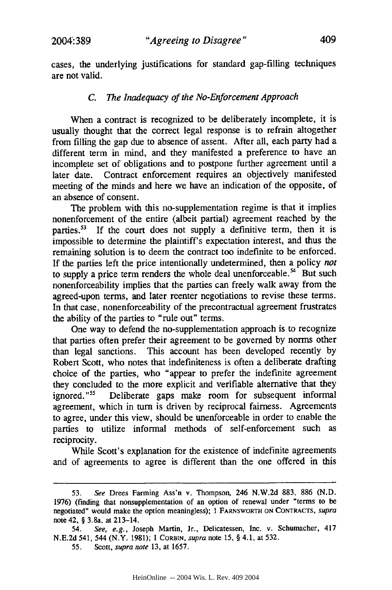cases, the underlying justifications for standard gap-filling techniques are not valid.

### *C. The Inadequacy of the No-Enforcement Approach*

When a contract is recognized to be deliberately incomplete, it is usually thought that the correct legal response is to refrain altogether from filling the gap due to absence of assent. After all, each party had a different term in mind, and they manifested a preference to have an incomplete set of obligations and to postpone further agreement until a later date. Contract enforcement requires an objectively manifested meeting of the minds and here we have an indication of the opposite, of an absence of consent.

The problem with this no-supplementation regime is that it implies nonenforcement of the entire (albeit partial) agreement reached by the parties.<sup>53</sup> If the court does not supply a definitive term, then it is impossible to determine the plaintiff's expectation interest, and thus the remaining solution is to deem the contract too indefinite to be enforced. If the parties left the price intentionally undetermined, then a policy *not* to supply a price term renders the whole deal unenforceable.<sup>54</sup> But such nonenforceability implies that the parties can freely walk away from the agreed-upon terms, and later reenter negotiations to revise these terms. In that case, nonenforceability of the precontractual agreement frustrates the ability of the parties to "rule out" terms.

One way to defend the no-supplementation approach is to recognize that parties often prefer their agreement to be governed by norms other than legal sanctions. This account has been developed recently by Robert Scott, who notes that indefiniteness is often a deliberate drafting choice of the parties, who "appear to prefer the indefinite agreement they concluded to the more explicit and verifiable alternative that they ignored."<sup>55</sup> Deliberate gaps make room for subsequent informal agreement, which in turn is driven by reciprocal fairness. Agreements to agree, under this view, should be unenforceable in order to enable the parties to utilize informal methods of self-enforcement such as reciprocity.

While Scott's explanation for the existence of indefinite agreements and of agreements to agree is different than the one offered in this

<sup>53.</sup> See Drees Farming Ass'n v. Thompson, 246 N.W.2d 883, 886 (N.D. 1976) (finding that nonsupplementation of an option of renewal under "terms to be negotiated" would make the option meaningless); 1 FARNSWORTH **ON** CONTRACTS, supra note 42, § 3.8a, at 213-14.

<sup>54.</sup> See, e.g., Joseph Martin, Jr., Delicatessen, Inc. v. Schumacher, 417 N.E.2d 541, 544 (N.Y. 1981); **1** CORBIN, supra note 15, § 4.1, at 532.

<sup>55.</sup> Scott, supra *note* 13, at 1657.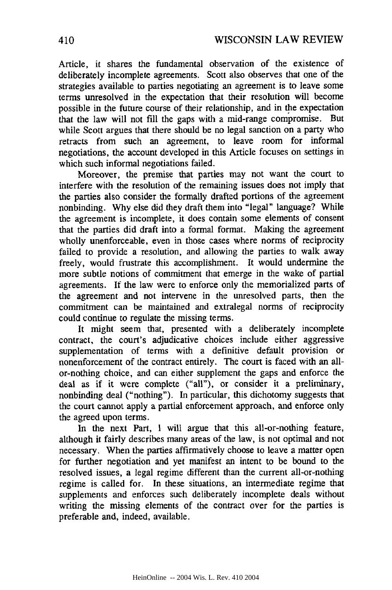Article, it shares the fundamental observation of the existence of deliberately incomplete agreements. Scott also observes that one of the strategies available to parties negotiating an agreement is to leave some terms unresolved in the expectation that their resolution will become possible in the future course of their relationship, and in the expectation that the law will not fill the gaps with a mid-range compromise. But while Scott argues that there should be no legal sanction on a party who retracts from such an agreement, to leave room for informal negotiations, the account developed in this Article focuses on settings in which such informal negotiations failed.

Moreover, the premise that parties may not want the court to interfere with the resolution of the remaining issues does not imply that the parties also consider the formally drafted portions of the agreement nonbinding. Why else did they draft them into "legal" language? While the agreement is incomplete, it does contain some elements of consent that the parties did draft into a formal format. Making the agreement wholly unenforceable, even in those cases where norms of reciprocity failed to provide a resolution, and allowing the parties to walk away freely, would frustrate this accomplishment. It would undermine the more subtle notions of commitment that emerge in the wake of partial agreements. If the law were to enforce only the memorialized parts of the agreement and not intervene in the unresolved parts, then the commitment can be maintained and extralegal norms of reciprocity could continue to regulate the missing terms.

It might seem that, presented with a deliberately incomplete contract, the court's adjudicative choices include either aggressive supplementation of terms with a definitive default provision or nonenforcement of the contract entirely. The court is faced with an allor-nothing choice, and can either supplement the gaps and enforce the deal as if it were complete ("all"), or consider it a preliminary, nonbinding deal ("nothing"). In particular, this dichotomy suggests that the court cannot apply a partial enforcement approach, and enforce only the agreed upon terms.

In the next Part, I will argue that this all-or-nothing feature, although it fairly describes many areas of the law, is not optimal and not necessary. When the parties affirmatively choose to leave a matter open for further negotiation and yet manifest an intent to be bound to the resolved issues, a legal regime different than the current all-or-nothing regime is called for. In these situations, an intermediate regime that supplements and enforces such deliberately incomplete deals without writing the missing elements of the contract over for the parties is preferable and, indeed, available.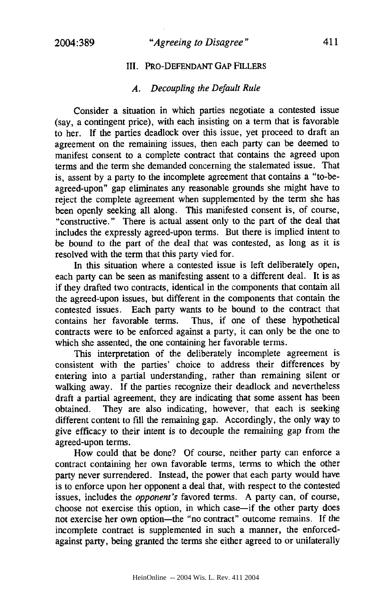# 411

# III. PRO-DEFENDANT GAP FILLERS

# *A. Decoupling the Default Rule*

Consider a situation in which parties negotiate a contested issue (say, a contingent price), with each insisting on a term that is favorable to her. If the parties deadlock over this issue, yet proceed to draft an agreement on the remaining issues, then each party can be deemed to manifest consent to a complete contract that contains the agreed upon terms and the term she demanded concerning the stalemated issue. That is, assent by a party to the incomplete agreement that contains a "to-beagreed-upon" gap eliminates any reasonable grounds she might have to reject the complete agreement when supplemented by the term she has been openly seeking all along. This manifested consent is, of course, "constructive." There is actual assent only to the part of the deal that includes the expressly agreed-upon terms. But there is implied intent to be bound to the part of the deal that was contested, as long as it is resolved with the term that this party vied for.

In this situation where a contested issue is left deliberately open, each party can be seen as manifesting assent to a different deal. It is as if they drafted two contracts, identical in the components that contain all the agreed-upon issues, but different in the components that contain the contested issues. Each party wants to be bound to the contract that contains her favorable terms. Thus, if one of these hypothetical contracts were to be enforced against a party, it can only be the one to which she assented, the one containing her favorable terms.

This interpretation of the deliberately incomplete agreement is consistent with the parties' choice to address their differences by entering into a partial understanding, rather than remaining silent or walking away. If the parties recognize their deadlock and nevertheless draft a partial agreement, they are indicating that some assent has been obtained. They are also indicating, however, that each is seeking different content to fill the remaining gap. Accordingly, the only way to give efficacy to their intent is to decouple the remaining gap from the agreed-upon terms.

How could that be done? Of course, neither party can enforce a contract containing her own favorable terms, terms to which the other party never surrendered. Instead, the power that each party would have is to enforce upon her opponent a deal that, with respect to the contested issues, includes the *opponent's* favored terms. A party can, of course, choose not exercise this option, in which case-if the other party does not exercise her own option-the "no contract" outcome remains. If the incomplete contract is supplemented in such a manner, the enforcedagainst party, being granted the terms she either agreed to or unilaterally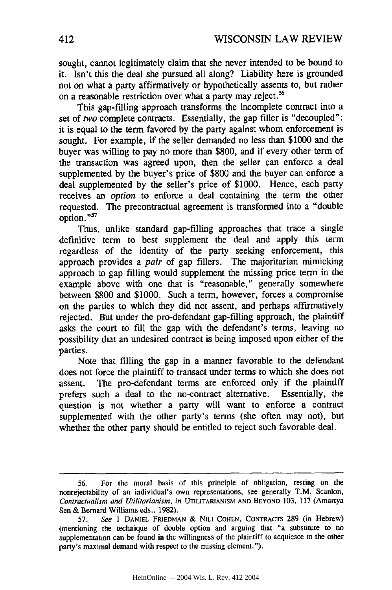sought, cannot legitimately claim that she never intended to be bound to it. Isn't this the deal she pursued all along? Liability here is grounded not on what a party affirmatively or hypothetically assents to, but rather on a reasonable restriction over what a party may reject.<sup>56</sup>

This gap-filling approach transforms the incomplete contract into a set of *two* complete contracts. Essentially, the gap filler is "decoupled": it is equal to the term favored by the party against whom enforcement is sought. For example, if the seller demanded no less than \$1000 and the buyer was willing to pay no more than \$800, and if every other term of the transaction was agreed upon, then the seller can enforce a deal supplemented by the buyer's price of \$800 and the buyer can enforce a deal supplemented by the seller's price of \$1000. Hence, each party receives an *option* to enforce a deal containing the term the other requested. The precontractual agreement is transformed into a "double option. **"5'**

Thus, unlike standard gap-filling approaches that trace a single definitive term to best supplement the deal and apply this term regardless of the identity of the party seeking enforcement, this approach provides a *pair* of gap fillers. The majoritarian mimicking approach to gap filling would supplement the missing price term in the example above with one that is "reasonable," generally somewhere between \$800 and \$1000. Such a term, however, forces a compromise on the parties to which they did not assent, and perhaps affirmatively rejected. But under the pro-defendant gap-filling approach, the plaintiff asks the court to fill the gap with the defendant's terms, leaving no possibility that an undesired contract is being imposed upon either of the parties.

Note that filling the gap in a manner favorable to the defendant does not force the plaintiff to transact under terms to which she does not assent. The pro-defendant terms are enforced only if the plaintiff prefers such a deal to the no-contract alternative. Essentially, the question is not whether a party will want to enforce a contract supplemented with the other party's terms (she often may not), but whether the other party should be entitled to reject such favorable deal.

<sup>56.</sup> For the moral basis of this principle of obligation, resting on the nonrejectability of an individual's own representations, see generally T.M. Scanlon, *Contractualism and Utilitarianism, in* **UTILITARIANISM AND** BEYOND 103, 117 (Amartya Sen & Bernard Williams eds., 1982).

<sup>57.</sup> *See I* **DANIEL** FRIEDMAN & NILI **COHEN,** CONTRACTS 289 (in Hebrew) (mentioning the technique of double option and arguing that "a substitute to no supplementation can be found in the willingness of the plaintiff to acquiesce to the other party's maximal demand with respect to the missing element.").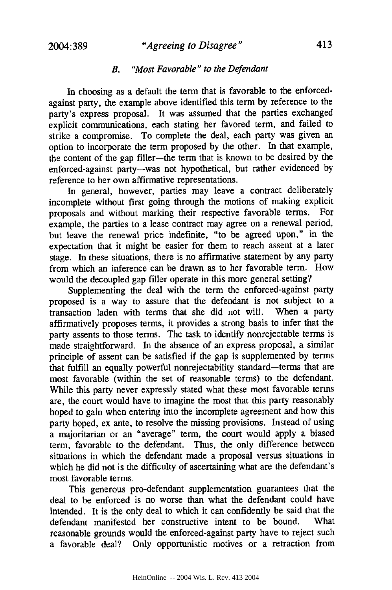# *"Agreeing to Disagree"*

# *B. "Most Favorable" to the Defendant*

In choosing as a default the term that is favorable to the enforcedagainst party, the example above identified this term by reference to the party's express proposal. It was assumed that the parties exchanged explicit communications, each stating her favored term, and failed to strike a compromise. To complete the deal, each party was given an option to incorporate the term proposed by the other. In that example, the content of the gap filler-the term that is known to be desired by the enforced-against party--was not hypothetical, but rather evidenced by reference to her own affirmative representations.

In general, however, parties may leave a contract deliberately incomplete without first going through the motions of making explicit proposals and without marking their respective favorable terms. For example, the parties to a lease contract may agree on a renewal period, but leave the renewal price indefinite, "to be agreed upon," in the expectation that it might be easier for them to reach assent at a later stage. In these situations, there is no affirmative statement by any party from which an inference can be drawn as to her favorable term. How would the decoupled gap filler operate in this more general setting?

Supplementing the deal with the term the enforced-against party proposed is a way to assure that the defendant is not subject to a transaction laden with terms that she did not will. When a party affirmatively proposes terms, it provides a strong basis to infer that the party assents to those terms. The task to identify nonrejectable terms is made straightforward. In the absence of an express proposal, a similar principle of assent can be satisfied if the gap is supplemented by terms that fulfill an equally powerful nonrejectability standard-terms that are most favorable (within the set of reasonable terms) to the defendant. While this party never expressly stated what these most favorable terms are, the court would have to imagine the most that this party reasonably hoped to gain when entering into the incomplete agreement and how this party hoped, ex ante, to resolve the missing provisions. Instead of using a majoritarian or an "average" term, the court would apply a biased term, favorable to the defendant. Thus, the only difference between situations in which the defendant made a proposal versus situations in which he did not is the difficulty of ascertaining what are the defendant's most favorable terms.

This generous pro-defendant supplementation guarantees that the deal to be enforced is no worse than what the defendant could have intended. It is the only deal to which it can confidently be said that the defendant manifested her constructive intent to be bound. What reasonable grounds would the enforced-against party have to reject such a favorable deal? Only opportunistic motives or a retraction from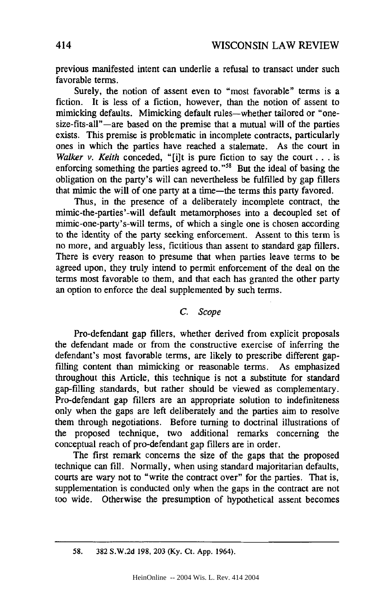previous manifested intent can underlie a refusal to transact under such favorable terms.

Surely, the notion of assent even to "most favorable" terms is a fiction. It is less of a fiction, however, than the notion of assent to mimicking defaults. Mimicking default rules—whether tailored or "onesize-fits-all"—are based on the premise that a mutual will of the parties exists. This premise is problematic in incomplete contracts, particularly ones in which the parties have reached a stalemate. As the court in *Walker v. Keith* conceded, "[i]t is pure fiction to say the court. **. .** is enforcing something the parties agreed to."<sup>58</sup> But the ideal of basing the obligation on the party's will can nevertheless be fulfilled by gap fillers that mimic the will of one party at a time-the terms this party favored.

Thus, in the presence of a deliberately incomplete contract, the mimic-the-parties'-will default metamorphoses into a decoupled set of mimic-one-party's-will terms, of which a single one is chosen according to the identity of the party seeking enforcement. Assent to this term is no more, and arguably less, fictitious than assent to standard gap fillers. There is every reason to presume that when parties leave terms to be agreed upon, they truly intend to permit enforcement of the deal on the terms most favorable to them, and that each has granted the other party an option to enforce the deal supplemented by such terms.

#### *C. Scope*

Pro-defendant gap fillers, whether derived from explicit proposals the defendant made or from the constructive exercise of inferring the defendant's most favorable terms, are likely to prescribe different gapfilling content than mimicking or reasonable terms. As emphasized throughout this Article, this technique is not a substitute for standard gap-filling standards, but rather should be viewed as complementary. Pro-defendant gap fillers are an appropriate solution to indefiniteness only when the gaps are left deliberately and the parties aim to resolve them through negotiations. Before turning to doctrinal illustrations of the proposed technique, two additional remarks concerning the conceptual reach of pro-defendant gap fillers are in order.

The first remark concerns the size of the gaps that the proposed technique can fill. Normally, when using standard majoritarian defaults, courts are wary not to "write the contract over" for the parties. That is, supplementation is conducted only when the gaps in the contract are not too wide. Otherwise the presumption of hypothetical assent becomes

**58. 382 S.W.2d 198, 203 (Ky.** Ct. **App.** 1964).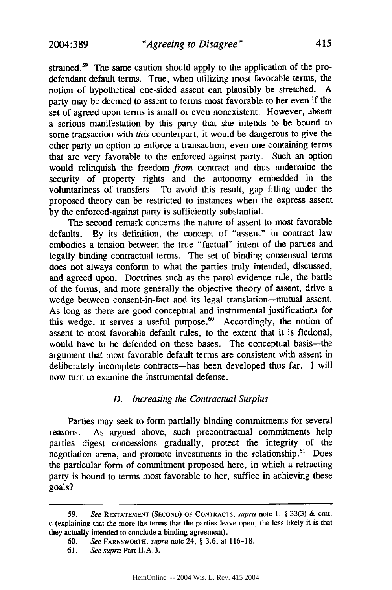*"Agreeing to Disagree"*

strained.<sup>59</sup> The same caution should apply to the application of the prodefendant default terms. True, when utilizing most favorable terms, the notion of hypothetical one-sided assent can plausibly be stretched. A party may be deemed to assent to terms most favorable to her even if the set of agreed upon terms is small or even nonexistent. However, absent a serious manifestation by this party that she intends to be bound to some transaction with *this* counterpart, it would be dangerous to give the other party an option to enforce a transaction, even one containing terms that are very favorable to the enforced-against party. Such an option would relinquish the freedom *from* contract and thus undermine the security of property rights and the autonomy embedded in the voluntariness of transfers. To avoid this result, gap filling under the proposed theory can be restricted to instances when the express assent by the enforced-against party is sufficiently substantial.

The second remark concerns the nature of assent to most favorable defaults. By its definition, the concept of "assent" in contract law embodies a tension between the true "factual" intent of the parties and legally binding contractual terms. The set of binding consensual terms does not always conform to what the parties truly intended, discussed, and agreed upon. Doctrines such as the parol evidence rule, the battle of the forms, and more generally the objective theory of assent, drive a wedge between consent-in-fact and its legal translation-mutual assent. As long as there are good conceptual and instrumental justifications for this wedge, it serves a useful purpose.<sup>60</sup> Accordingly, the notion of assent to most favorable default rules, to the extent that it is fictional, would have to be defended on these bases. The conceptual basis-the argument that most favorable default terms are consistent with assent in deliberately incomplete contracts-has been developed thus far. I will now turn to examine the instrumental defense.

#### *D. Increasing the Contractual Surplus*

Parties may seek to form partially binding commitments for several reasons. As argued above, such precontractual commitments help parties digest concessions gradually, protect the integrity of the negotiation arena, and promote investments in the relationship.<sup>61</sup> Does the particular form of commitment proposed here, in which a retracting party is bound to terms most favorable to her, suffice in achieving these goals?

**<sup>59.</sup>** See RESTATEMENT (SECOND) OF CONTRACTS, supra note **1,** § 33(3) & cmt. c (explaining that the more the terms that the parties leave open, the less likely it is that they actually intended to conclude a binding agreement).

<sup>60.</sup> See FARNSWORTH, supra note 24, § 3.6, at 116-18.

<sup>61.</sup> See supra Part II.A.3.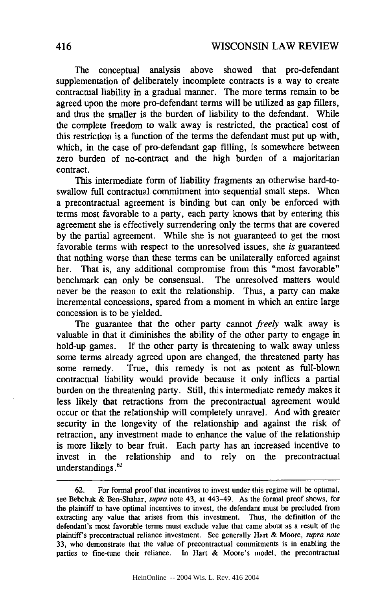The conceptual analysis above showed that pro-defendant supplementation of deliberately incomplete contracts is a way to create contractual liability in a gradual manner. The more terms remain to be agreed upon the more pro-defendant terms will be utilized as gap fillers, and thus the smaller is the burden of liability to the defendant. While the complete freedom to walk away is restricted, the practical cost of this restriction is a function of the terms the defendant must put up with, which, in the case of pro-defendant gap filling, is somewhere between zero burden of no-contract and the high burden of a majoritarian contract.

This intermediate form of liability fragments an otherwise hard-toswallow full contractual. commitment into sequential small steps. When a precontractual agreement is binding but can only be enforced with terms most favorable to a party, each party knows that by entering this agreement she is effectively surrendering only the terms that are covered by the partial agreement. While she is not guaranteed to get the most favorable terms with respect to the unresolved issues, she *is* guaranteed that nothing worse than these terms can be unilaterally enforced against her. That is, any additional compromise from this "most favorable" benchmark can only be consensual. The unresolved matters would never be the reason to exit the relationship. Thus, a party can make incremental concessions, spared from a moment in which an entire large concession is to be yielded.

The guarantee that the other party cannot *freely* walk away is valuable in that it diminishes the ability of the other party to engage in hold-up games. If the other party is threatening to walk away unless some terms already agreed upon are changed, the threatened party has some remedy. True, this remedy is not as potent as full-blown contractual liability would provide because it only inflicts a partial burden on the threatening party. Still, this intermediate remedy makes it less likely that retractions from the precontractual agreement would occur or that the relationship will completely unravel. And with greater security in the longevity of the relationship and against the risk of retraction, any investment made to enhance the value of the relationship is more likely to bear fruit. Each party has an increased incentive to invest in the relationship and to rely on the precontractual understandings.<sup>62</sup>

<sup>62.</sup> For formal proof that incentives to invest under this regime will be optimal, see Bebchuk & Ben-Shahar, supra note 43, at 443-49. As the formal proof shows, for the plaintiff to have optimal incentives to invest, the defendant must be precluded from extracting any value that arises from this investment. Thus, the definition of the defendant's most favorable terms must exclude value that came about as a result of the plaintiff's precontractual reliance investment. See generally Hart & Moore, supra note 33, who demonstrate that the value of precontractual commitments is in enabling the parties to fine-tune their reliance. In Hart & Moore's model, the precontractual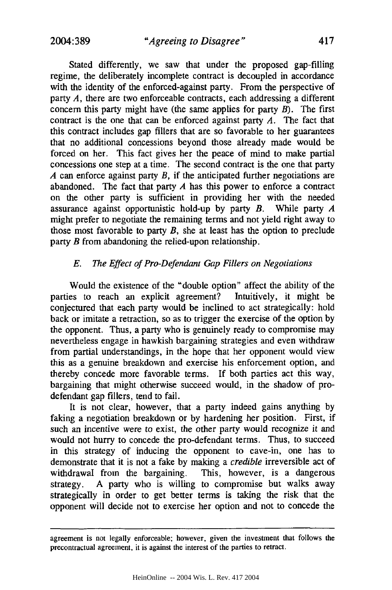Stated differently, we saw that under the proposed gap-filling regime, the deliberately incomplete contract is decoupled in accordance with the identity of the enforced-against party. From the perspective of party *A*, there are two enforceable contracts, each addressing a different concern this party might have (the same applies for party *B).* The first contract is the one that can be enforced against party *A.* The fact that this contract includes gap fillers that are so favorable to her guarantees that no additional concessions beyond those already made would be forced on her. This fact gives her the peace of mind to make partial concessions one step at a time. The second contract is the one that party *A* can enforce against party *B,* if the anticipated further negotiations are abandoned. The fact that party *A* has this power to enforce a contract on the other party is sufficient in providing her with the needed assurance against opportunistic hold-up by party *B.* While party *A* might prefer to negotiate the remaining terms and not yield right away to those most favorable to party *B,* she at least has the option to preclude party *B* from abandoning the relied-upon relationship.

# *E. The Effect of Pro-Defendant Gap Fillers on Negotiations*

Would the existence of the "double option" affect the ability of the parties to reach an explicit agreement? Intuitively, it might be conjectured that each party would be inclined to act strategically: hold back or imitate a retraction, so as to trigger the exercise of the option by the opponent. Thus, a party who is genuinely ready to compromise may nevertheless engage in hawkish bargaining strategies and even withdraw from partial understandings, in the hope that her opponent would view this as a genuine breakdown and exercise his enforcement option, and thereby concede more favorable terms. If both parties act this way, bargaining that might otherwise succeed would, in the shadow of prodefendant gap fillers, tend to fail.

It is not clear, however, that a party indeed gains anything by faking a negotiation breakdown or by hardening her position. First, if such an incentive were to exist, the other party would recognize it and would not hurry to concede the pro-defendant terms. Thus, to succeed in this strategy of inducing the opponent to cave-in, one has to demonstrate that it is not a fake by making a *credible* irreversible act of withdrawal from the bargaining. This, however, is a dangerous strategy. A party who is willing to compromise but walks away strategically in order to get better terms is taking the risk that the opponent will decide not to exercise her option and not to concede the

agreement is not legally enforceable; however, given the investment that follows the precontractual agreement, it is against the interest of the parties to retract.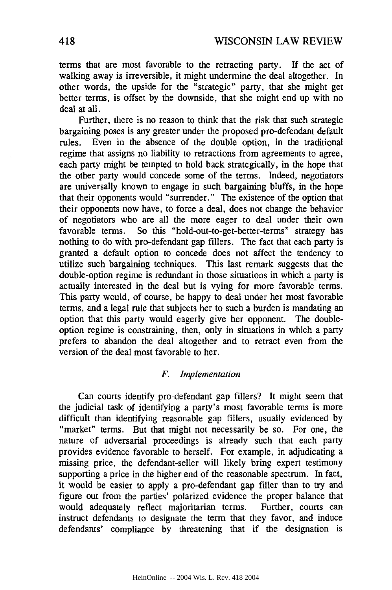terms that are most favorable to the retracting party. If the act of walking away is irreversible, it might undermine the deal altogether. In other words, the upside for the "strategic" party, that she might get better terms, is offset by the downside, that she might end up with no deal at all.

Further, there is no reason to think that the risk that such strategic bargaining poses is any greater under the proposed pro-defendant default rules. Even in the absence of the double option, in the traditional regime that assigns no liability to retractions from agreements to agree, each party might be tempted to hold back strategically, in the hope that the other party would concede some of the terms. Indeed, negotiators are universally known to engage in such bargaining bluffs, in the hope that their opponents would "surrender." The existence of the option that their opponents now have, to force a deal, does not change the behavior of negotiators who are all the more eager to deal under their own favorable terms. So this "hold-out-to-get-better-terms" strategy has nothing to do with pro-defendant gap fillers. The fact that each party is granted a default option to concede does not affect the tendency to utilize such bargaining techniques. This last remark suggests that the double-option regime is redundant in those situations in which a party is actually interested in the deal but is vying for more favorable terms. This party would, of course, be happy to deal under her most favorable terms, and a legal rule that subjects her to such a burden is mandating an option that this party would eagerly give her opponent. The doubleoption regime is constraining, then, only in situations in which a party prefers to abandon the deal altogether and to retract even from the version of the deal most favorable to her.

# *F. Implementation*

Can courts identify pro-defendant gap fillers? It might seem that the judicial task of identifying a party's most favorable terms is more difficult than identifying reasonable gap fillers, usually evidenced by "market" terms. But that might not necessarily be so. For one, the nature of adversarial proceedings is already such that each party provides evidence favorable to herself. For example, in adjudicating a missing price, the defendant-seller will likely bring expert testimony supporting a price in the higher end of the reasonable spectrum. In fact, it would be easier to apply a pro-defendant gap filler than to try and figure out from the parties' polarized evidence the proper balance that would adequately reflect majoritarian terms. Further, courts can instruct defendants to designate the term that they favor, and induce defendants' compliance by threatening that if the designation is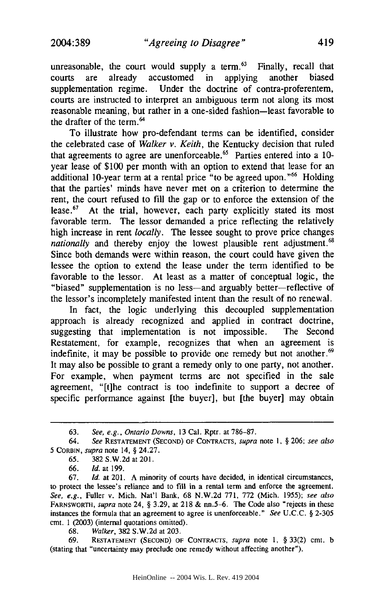unreasonable, the court would supply a term. $63$  Finally, recall that courts are already accustomed in applying another biased supplementation regime. Under the doctrine of contra-proferentem, courts are instructed to interpret an ambiguous term not along its most reasonable meaning, but rather in a one-sided fashion-least favorable to the drafter of the term.<sup>64</sup>

To illustrate how pro-defendant terms can be identified, consider the celebrated case of *Walker v. Keith,* the Kentucky decision that ruled that agreements to agree are unenforceable.<sup>65</sup> Parties entered into a 10year lease of \$100 per month with an option to extend that lease for an additional 10-year term at a rental price "to be agreed upon."<sup>66</sup> Holding that the parties' minds have never met on a criterion to determine the rent, the court refused to fill the gap or to enforce the extension of the lease. $57$  At the trial, however, each party explicitly stated its most favorable term. The lessor demanded a price reflecting the relatively high increase in rent *locally.* The lessee sought to prove price changes *nationally* and thereby enjoy the lowest plausible rent adjustment.<sup>68</sup> Since both demands were within reason, the court could have given the lessee the option to extend the lease under the term identified to be favorable to the lessor. At least as a matter of conceptual logic, the "biased" supplementation is no less—and arguably better—reflective of the lessor's incompletely manifested intent than the result of no renewal.

In fact, the logic underlying this decoupled supplementation approach is already recognized and applied in contract doctrine, suggesting that implementation is not impossible. The Second Restatement, for example, recognizes that when an agreement is indefinite, it may be possible to provide one remedy but not another. $69$ It may also be possible to grant a remedy only to one party, not another. For example, when payment terms are not specified in the sale agreement, "[t]he contract is too indefinite to support a decree of specific performance against [the buyer], but [the buyer] may obtain

66. *Id.* at 199.

68. *Walker,* 382 S.W.2d at 203.

69. **RESTATEMENT (SECOND) OF CONTRACTS,** *supra* note 1, § 33(2) cmt. b (stating that "uncertainty may preclude one remedy without affecting another").

<sup>63.</sup> *See, e.g., Ontario Downs,* 13 Cal. Rptr. at 786-87.

<sup>64.</sup> *See* **RESTATEMENT (SECOND)** OF **CONTRACTS,** supra note 1, § 206; *see also* 5 CORBIN, supra note 14, § 24.27.

*<sup>65.</sup>* 382 S.W.2d at 201.

<sup>67.</sup> *Id.* at 201. A minority of courts have decided, in identical circumstances, to protect the lessee's reliance and to fill in a rental term and enforce the agreement. *See, e.g.,* Fuller v. Mich. Nat'l Bank, 68 N.W.2d 771, 772 (Mich. 1955); *see also* FARNSWORTH, *supra* note 24, § 3.29, at 218 & nn.5-6. The Code also "rejects in these instances the formula that an agreement to agree is unenforceable." *See* U.C.C. § 2-305 cmt. 1 (2003) (internal quotations omitted).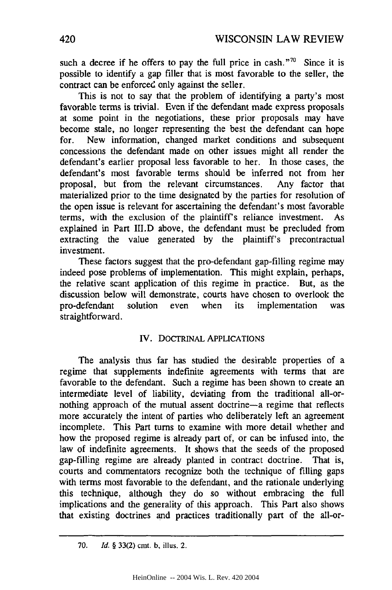such a decree if he offers to pay the full price in cash."<sup>70</sup> Since it is possible to identify a gap filler that is most favorable to the seller, the contract can be enforced only against the seller.

This is not to say that the problem of identifying a party's most favorable terms is trivial. Even if the defendant made express proposals at some point in the negotiations, these prior proposals may have become stale, no longer representing the best the defendant can hope for. New information, changed market conditions and subsequent concessions the defendant made on other issues might all render the defendant's earlier proposal less favorable to her. In those cases, the defendant's most favorable terms should be inferred not from her proposal, but from the relevant circumstances. Any factor that materialized prior to the time designated by the parties for resolution of the open issue is relevant for ascertaining the defendant's most favorable terms, with the exclusion of the plaintiff's reliance investment. As explained in Part III.D above, the defendant must be precluded from extracting the value generated by the plaintiff's precontractual investment.

These factors suggest that the pro-defendant gap-filling regime may indeed pose problems of implementation. This might explain, perhaps, the relative scant application of this regime in practice. But, as the discussion below will demonstrate, courts have chosen to overlook the pro-defendant solution even when its implementation was straightforward.

# IV. DOCTRINAL APPLICATIONS

The analysis thus far has studied the desirable properties of a regime that supplements indefinite agreements with terms that are favorable to the defendant. Such a regime has been shown to create an intermediate level of liability, deviating from the traditional all-ornothing approach of the mutual assent doctrine-a regime that reflects more accurately the intent of parties who deliberately left an agreement incomplete. This Part turns to examine with more detail whether and how the proposed regime is already part of, or can be infused into, the law of indefinite agreements. It shows that the seeds of the proposed gap-filling regime are already planted in contract doctrine. That is, courts and commentators recognize both the technique of filling gaps with terms most favorable to the defendant, and the rationale underlying this technique, although they do so without embracing the full implications and the generality of this approach. This Part also shows that existing doctrines and practices traditionally part of the all-or-

<sup>70.</sup> *Id.* § 33(2) cmt. b, illus. 2.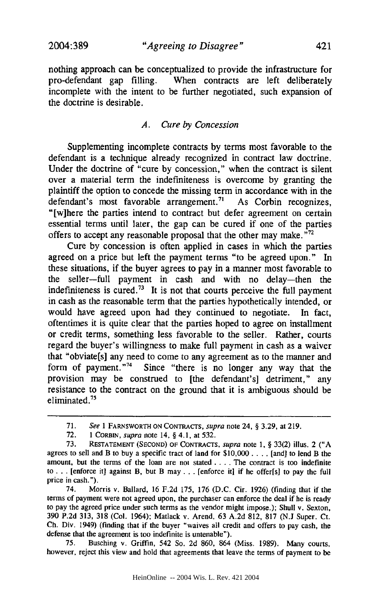nothing approach can be conceptualized to provide the infrastructure for pro-defendant gap filling. When contracts are left deliberately incomplete with the intent to be further negotiated, such expansion of the doctrine is desirable.

# *A. Cure by Concession*

Supplementing incomplete contracts **by** terms most favorable to the defendant is a technique already recognized in contract law doctrine. Under the doctrine of "cure **by** concession," when the contract is silent over a material term the indefiniteness is overcome **by** granting the plaintiff the option to concede the missing term in accordance with in the defendant's most favorable arrangement.<sup>71</sup> As Corbin recognizes, "[w]here the parties intend to contract but defer agreement on certain essential terms until later, the gap can be cured if one of the parties offers to accept any reasonable proposal that the other may make. **,**

Cure **by** concession is often applied in cases in which the parties agreed on a price but left the payment terms "to be agreed upon." In these situations, if the buyer agrees to pay in a manner most favorable to the seller-full payment in cash and with no delay-then the indefiniteness is cured.<sup>73</sup> It is not that courts perceive the full payment in cash as the reasonable term that the parties hypothetically intended, or would have agreed upon had they continued to negotiate. In fact, oftentimes it is quite clear that the parties hoped to agree on installment or credit terms, something less favorable to the seller. Rather, courts regard the buyer's willingness to make full payment in cash as a waiver that "obviate[s] any need to come to any agreement as to the manner and form of payment."74 Since "there is no longer any way that the provision may be construed to [the defendant's] detriment," any resistance to the contract on the ground that it is ambiguous should be eliminated.<sup>75</sup>

74. Morris v. Ballard, **16 F.2d 175, 176 (D.C.** Cir. **1926)** (finding that if the terms of payment were not agreed upon, the purchaser can enforce the deal if he is ready to pay the agreed price under such terms as the vendor might impose.); Shull v. Sexton, **390 P.2d 313, 318** (Col. 1964); Matlack v. Arend, **63 A.2d 812, 817 (N.J** Super. Ct. **Ch.** Div. 1949) (finding that if the buyer "waives all credit and offers to pay cash, the defense that the agreement is too indefinite is untenable").

**75.** Busching v. Griffin, 542 So. **2d 860,** 864 (Miss. **1989).** Many courts, however, reject this view and hold that agreements that leave the terms of payment to be

HeinOnline -- 2004 Wis. L. Rev. 421 2004

**<sup>71.</sup>** *See* **1** FARNSWORTH **ON CONTRACTS,** *supra* note 24, **§ 3.29,** at **219.**

**<sup>72. 1</sup> CORBIN,** *supra* note 14, **§** 4.1, at **532.**

**<sup>73.</sup> RESTATEMENT (SECOND)** OF **CONTRACTS,** *supra* note **1, § 33(2)** illus. 2 **("A** agrees to sell and B to buy a specific tract of land for **\$10,000 ....** [and] to lend B the amount, but the terms of the loan are not stated **....** The contract is too indefinite to **. . .**[enforce it] against B, but B may **...** [enforce it] if he offer[s] to pay the **full** price in cash.").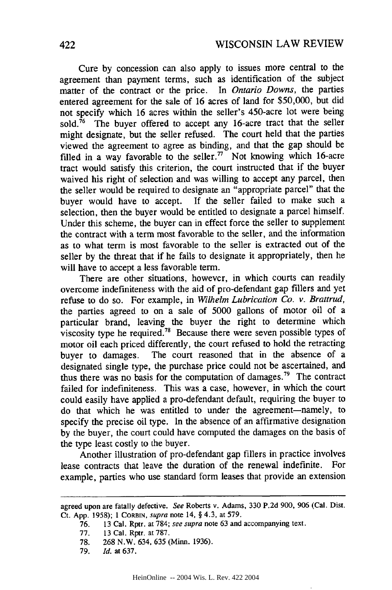Cure by concession can also apply to issues more central to the agreement than payment terms, such as identification of the subject matter of the contract or the price. In *Ontario Downs,* the parties entered agreement for the sale of 16 acres of land for \$50,000, but did not specify which 16 acres within the seller's 450-acre lot were being sold.<sup> $76$ </sup> The buyer offered to accept any 16-acre tract that the seller might designate, but the seller refused. The court held that the parties viewed the agreement to agree as binding, and that the gap should be filled in a way favorable to the seller.<sup> $77$ </sup> Not knowing which 16-acre tract would satisfy this criterion, the court instructed that if the buyer waived his right of selection and was willing to accept any parcel, then the seller would be required to designate an "appropriate parcel" that the buyer would have to accept. If the seller failed to make such a selection, then the buyer would be entitled to designate a parcel himself. Under this scheme, the buyer can in effect force the seller to supplement the contract with a term most favorable to the seller, and the information as to what term is most favorable to the seller is extracted out of the seller by the threat that if he fails to designate it appropriately, then he will have to accept a less favorable term.

There are other situations, however, in which courts can readily overcome indefiniteness with the aid of pro-defendant gap fillers and yet refuse to do so. For example, in *Wilhelm Lubrication Co. v. Brattrud,* the parties agreed to on a sale of 5000 gallons of motor oil of a particular brand, leaving the buyer the right to determine which viscosity type he required.<sup>78</sup> Because there were seven possible types of motor oil each priced differently, the court refused to hold the retracting buyer to damages. The court reasoned that in the absence of a designated single type, the purchase price could not be ascertained, and thus there was no basis for the computation of damages. 79 The contract failed for indefiniteness. This was a case, however, in which the court could easily have applied a pro-defendant default, requiring the buyer to do that which he was entitled to under the agreement-namely, to specify the precise oil type. In the absence of an affirmative designation by the buyer, the court could have computed the damages on the basis of the type least costly to the buyer.

Another illustration of pro-defendant gap fillers in practice involves lease contracts that leave the duration of the renewal indefinite. For example, parties who use standard form leases that provide an extension

78. 268 N.W. 634, 635 (Minn. 1936).

agreed upon are fatally defective. *See* Roberts *v.* Adams, **330** P.2d 900, 906 (Cal. Dist. Ct. App. 1958); 1 CORBIN, *supra* note 14, § 4.3, at 579.

**<sup>76.</sup>** 13 Cal. Rptr. at 784; *see supra* note 63 and accompanying text.

<sup>77. 13</sup> Cal. Rptr. at 787.

<sup>79.</sup> *Id.* at 637.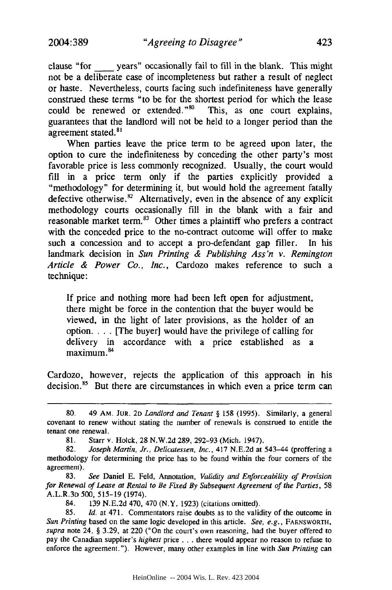clause "for - years" occasionally fail to fill in the blank. This might not be a deliberate case of incompleteness but rather a result of neglect or haste. Nevertheless, courts facing such indefiniteness have generally construed these terms "to be for the shortest period for which the lease could be renewed or extended." $80$  This, as one court explains, guarantees that the landlord will not be held to a longer period than the agreement stated.<sup>81</sup>

When parties leave the price term to be agreed upon later, the option to cure the indefiniteness by conceding the other party's most favorable price is less commonly recognized. Usually, the court would fill in a price term only if the parties explicitly provided a "methodology" for determining it, but would hold the agreement fatally defective otherwise.<sup>82</sup> Alternatively, even in the absence of any explicit methodology courts occasionally fill in the blank with a fair and reasonable market term. $83$  Other times a plaintiff who prefers a contract with the conceded price to the no-contract outcome will offer to make such a concession and to accept a pro-defendant gap filler. In his landmark decision in *Sun Printing & Publishing Ass'n v. Remington Article & Power Co., Inc.,* Cardozo makes reference to such a technique:

If price and nothing more had been left open for adjustment, there might be force in the contention that the buyer would be viewed, in the light of later provisions, as the holder of an option.... [The buyer] would have the privilege of calling for delivery in accordance with a price established as a  $maximum.<sup>84</sup>$ 

Cardozo, however, rejects the application of this approach in his decision.<sup>85</sup> But there are circumstances in which even a price term can

<sup>80. 49</sup> AM. **JUR. 2D** *Landlord and Tenant §* 158 (1995). Similarly, a general covenant to renew without stating the number of renewals is construed to entitle the tenant one renewal.

<sup>81.</sup> Starr v. Holck, 28 N.W.2d 289, 292-93 (Mich. 1947).

<sup>82.</sup> *Joseph Martin, Jr., Delicatessen, Inc.,* 417 N.E.2d at 543-44 (proffering a methodology for determining the price has to be found within the four corners of the agreement).

<sup>83.</sup> *See* Daniel E. Feld, Annotation, *Validity and Enforceability of Provision* for Renewal of Lease at Rental to Be Fixed By Subsequent Agreement of the Parties, 58 A.L.R.3D 500, 515-19 (1974).

<sup>84. 139</sup> N.E.2d 470, 470 (N.Y. 1923) (citations omitted).

<sup>85.</sup> *Id.* at 471. Commentators raise doubts as to the validity of the outcome in *Sun Printing* based on the same logic developed in this article. *See, e.g.,* FARNSWORTH, *supra* note 24, § 3.29, at 220 ("On the court's own reasoning, had the buyer offered to pay the Canadian supplier's *highest* price **...** there would appear no reason to refuse to enforce the agreement."). However, many other examples in line with *Sun Printing can*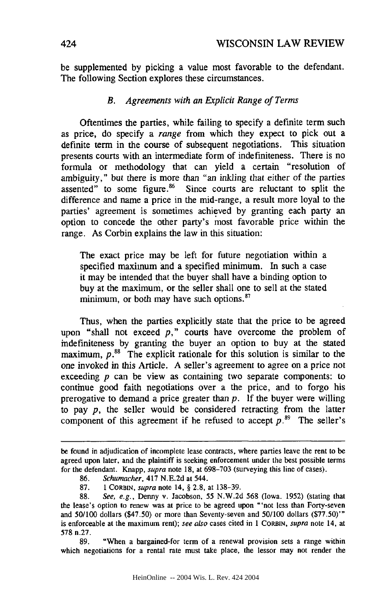be supplemented by picking a value most favorable to the defendant. The following Section explores these circumstances.

#### *B. Agreements with an Explicit Range of Terms*

Oftentimes the parties, while failing to specify a definite term such as price, do specify a *range* from which they expect to pick out a definite term in the course of subsequent negotiations. This situation presents courts with an intermediate form of indefiniteness. There is no formula or methodology that can yield a certain "resolution of ambiguity," but there is more than "an inkling that either of the parties assented" to some figure.<sup>86</sup> Since courts are reluctant to split the difference and name a price in the mid-range, a result more loyal to the parties' agreement is sometimes achieved by granting each party an option to concede the other party's most favorable price within the range. As Corbin explains the law in this situation:

The exact price may be left for future negotiation within a specified maximum and a specified minimum. In such a case it may be intended that the buyer shall have a binding option to buy at the maximum, or the seller shall one to sell at the stated minimum, or both may have such options.<sup>87</sup>

Thus, when the parties explicitly state that the price to be agreed upon "shall not exceed *p,"* courts have overcome the problem of indefiniteness by granting the buyer an option to buy at the stated maximum,  $p$ .<sup>88</sup> The explicit rationale for this solution is similar to the one invoked in this Article. A seller's agreement to agree on a price not exceeding *p* can be view as containing two separate components: to continue good faith negotiations over a the price, and to forgo his prerogative to demand a price greater than  $p$ . If the buyer were willing to pay *p,* the seller would be considered retracting from the latter component of this agreement if he refused to accept  $p$ .<sup>89</sup> The seller's

89. "When a bargained-for term of a renewal provision sets a range within which negotiations for a rental rate must take place, the lessor may not render the

be found in adjudication of incomplete lease contracts, where parties leave the rent to be agreed upon later, and the plaintiff is seeking enforcement under the best possible terms for the defendant. Knapp, supra note 18, at 698-703 (surveying this line of cases).

<sup>86.</sup> Schumacher, 417 N.E.2d at 544.

<sup>87. 1</sup> CORBIN, supra note 14, § 2.8, at 138-39.

<sup>88.</sup> See, e.g., Denny v. Jacobson, 55 N.W.2d 568 (Iowa. 1952) (stating that the lease's option to renew was at price to be agreed upon "'not less than Forty-seven and 50/100 dollars (\$47.50) or more than Seventy-seven and 50/100 dollars (\$77.50)'" is enforceable at the maximum rent); see also cases cited in 1 CORBIN, supra note 14, at 578 n.27.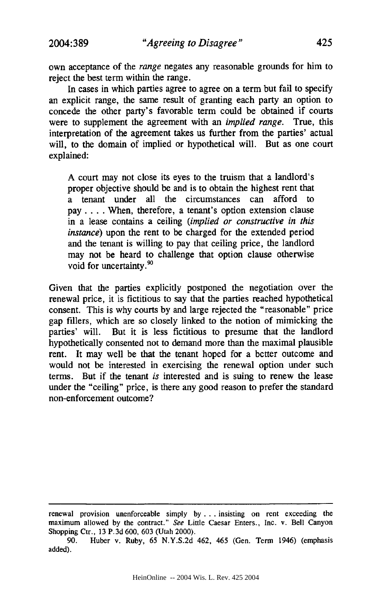own acceptance of the *range* negates any reasonable grounds for him to reject the best term within the range.

In cases in which parties agree to agree on a term but fail to specify an explicit range, the same result of granting each party an option to concede the other party's favorable term could be obtained if courts were to supplement the agreement with an *implied range.* True, this interpretation of the agreement takes us further from the parties' actual will, to the domain of implied or hypothetical will. But as one court explained:

A court may not close its eyes to the truism that a landlord's proper objective should be and is to obtain the highest rent that a tenant under all the circumstances can afford to pay .... When, therefore, a tenant's option extension clause in a lease contains a ceiling *(implied or constructive in this instance)* upon the rent to be charged for the extended period and the tenant is willing to pay that ceiling price, the landlord may not be heard to challenge that option clause otherwise void for uncertainty.<sup>90</sup>

Given that the parties explicitly postponed the negotiation over the renewal price, it is fictitious to say that the parties reached hypothetical consent. This is why courts by and large rejected the "reasonable" price gap fillers, which are so closely linked to the notion of mimicking the parties' will. But it is less fictitious to presume that the landlord hypothetically consented not to demand more than the maximal plausible rent. It may well be that the tenant hoped for a better outcome and would not be interested in exercising the renewal option under such terms. But if the tenant *is* interested and is suing to renew the lease under the "ceiling" price, is there any good reason to prefer the standard non-enforcement outcome?

renewal provision unenforceable simply by ... insisting on rent exceeding the maximum allowed by the contract." See Little Caesar Enters., Inc. v. Bell Canyon Shopping Ctr., 13 P.3d 600, 603 (Utah 2000).

<sup>90.</sup> Huber v. Ruby, 65 N.Y.S.2d 462, 465 (Gen. Term 1946) (emphasis added).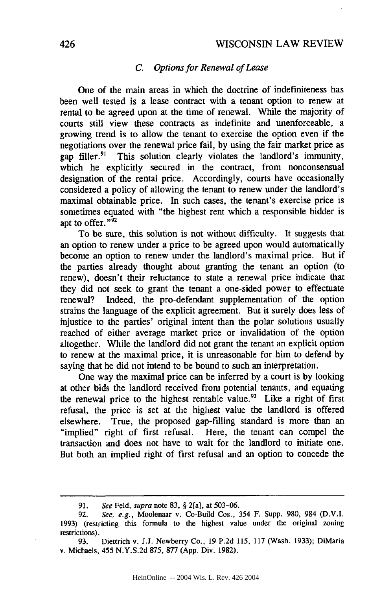#### *C. Options for Renewal of Lease*

One of the main areas in which the doctrine of indefiniteness has been well tested is a lease contract with a tenant option to renew at rental to be agreed upon at the time of renewal. While the majority of courts still view these contracts as indefinite and unenforceable, a growing trend is to allow the tenant to exercise the option even if the negotiations over the renewal price fail, by using the fair market price as gap filler.<sup>91</sup> This solution clearly violates the landlord's immunity, which he explicitly secured in the contract, from nonconsensual designation of the rental price. Accordingly, courts have occasionally considered a policy of allowing the tenant to renew under the landlord's maximal obtainable price. In such cases, the tenant's exercise price is sometimes equated with "the highest rent which a responsible bidder is apt to offer."92

To be sure, this solution is not without difficulty. It suggests that an option to renew under a price to be agreed upon would automatically become an option to renew under the landlord's maximal price. But if the parties already thought about granting the tenant an option (to renew), doesn't their reluctance to state a renewal price indicate that they did not seek to grant the tenant a one-sided power to effectuate renewal? Indeed, the pro-defendant supplementation of the option strains the language of the explicit agreement. But it surely does less of injustice to the parties' original intent than the polar solutions usually reached of either average market price or invalidation of the option altogether. While the landlord did not grant the tenant an explicit option to renew at the maximal price, it is unreasonable for him to defend by saying that he did not intend to be bound to such an interpretation.

One way the maximal price can be inferred by a court is by looking at other bids the landlord received from potential tenants, and equating the renewal price to the highest rentable value.<sup>93</sup> Like a right of first refusal, the price is set at the highest value the landlord is offered elsewhere. True, the proposed gap-filling standard is more than an "implied" right of first refusal. Here, the tenant can compel the transaction and does not have to wait for the landlord to initiate one. But both an implied right of first refusal and an option to concede the

<sup>91.</sup> See Feld, supra note 83, § 2[a], at 503-06.

<sup>92.</sup> See, e.g., Moolenaar v. Co-Build Cos., 354 F. Supp. 980, 984 (D.V.I. 1993) (restricting this formula to the highest value under the original zoning restrictions).

<sup>93.</sup> Diettrich v. **J.J.** Newberry Co., 19 P.2d 115, 117 (Wash. 1933); DiMaria v. Michaels, 455 N.Y.S.2d 875, **877** (App. Div. 1982).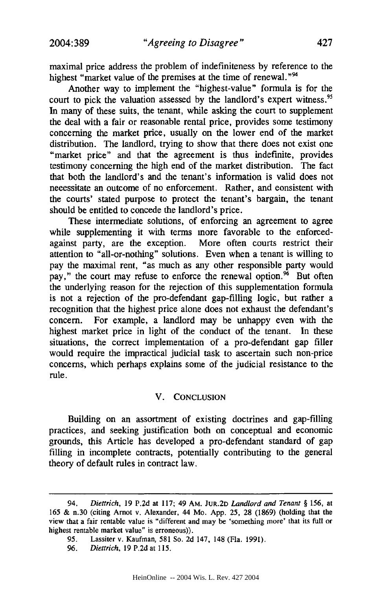maximal price address the problem of indefiniteness by reference to the highest "market value of the premises at the time of renewal."<sup>94</sup>

Another way to implement the "highest-value" formula is for the court to pick the valuation assessed by the landlord's expert witness.<sup>95</sup> In many of these suits, the tenant, while asking the court to supplement the deal with a fair or reasonable rental price, provides some testimony concerning the market price, usually on the lower end of the market distribution. The landlord, trying to show that there does not exist one "market price" and that the agreement is thus indefinite, provides testimony concerning the high end of the market distribution. The fact that both the landlord's and the tenant's information is valid does not necessitate an outcome of no enforcement. Rather, and consistent with the courts' stated purpose to protect the tenant's bargain, the tenant should be entitled to concede the landlord's price.

These intermediate solutions, of enforcing an agreement to agree while supplementing it with terms more favorable to the enforcedagainst party, are the exception. More often courts restrict their attention to "all-or-nothing" solutions. Even when a tenant is willing to pay the maximal rent, "as much as any other responsible party would pay," the court may refuse to enforce the renewal option. $96$  But often the underlying reason for the rejection of this supplementation formula is not a rejection of the pro-defendant gap-filling logic, but rather a recognition that the highest price alone does not exhaust the defendant's concern. For example, a landlord may be unhappy even with the highest market price in light of the conduct of the tenant. In these situations, the correct implementation of a pro-defendant gap filler would require the impractical judicial task to ascertain such non-price concerns, which perhaps explains some of the judicial resistance to the rule.

#### V. **CONCLUSION**

Building on an assortment of existing doctrines and gap-filling practices, and seeking justification both on conceptual and economic grounds, this Article has developed a pro-defendant standard of gap filling in incomplete contracts, potentially contributing to the general theory of default rules in contract law.

<sup>94.</sup> *Diettrich,* **19 P.2d** at 117; 49 Am. **JUR.2D** *Landlord and Tenant §* 156, at 165 & n.30 (citing Arnot v. Alexander, 44 Mo. App. 25, 28 (1869) (holding that the view that a fair rentable value is "different and may be 'something more' that its full or highest rentable market value" is erroneous)).

<sup>95.</sup> Lassiter v. Kaufman, 581 So. 2d 147, 148 (Fla. 1991).

<sup>96.</sup> *Diettrich,* 19 P.2d at 115.